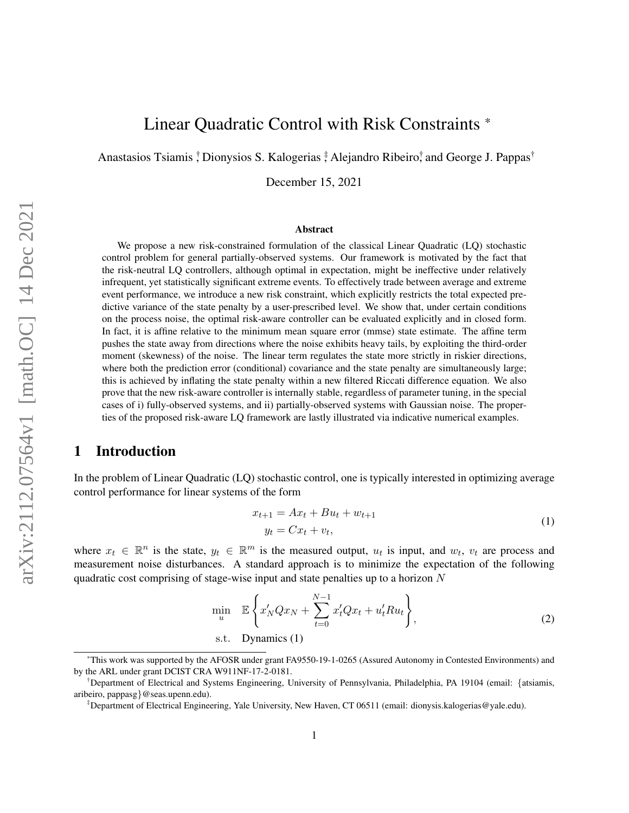# Linear Quadratic Control with Risk Constraints \*

Anastasios Tsiamis <sup>†</sup> Dionysios S. Kalogerias <sup>‡</sup> Alejandro Ribeiro<sup>†</sup> and George J. Pappas<sup>†</sup>

December 15, 2021

#### Abstract

We propose a new risk-constrained formulation of the classical Linear Quadratic (LQ) stochastic control problem for general partially-observed systems. Our framework is motivated by the fact that the risk-neutral LQ controllers, although optimal in expectation, might be ineffective under relatively infrequent, yet statistically significant extreme events. To effectively trade between average and extreme event performance, we introduce a new risk constraint, which explicitly restricts the total expected predictive variance of the state penalty by a user-prescribed level. We show that, under certain conditions on the process noise, the optimal risk-aware controller can be evaluated explicitly and in closed form. In fact, it is affine relative to the minimum mean square error (mmse) state estimate. The affine term pushes the state away from directions where the noise exhibits heavy tails, by exploiting the third-order moment (skewness) of the noise. The linear term regulates the state more strictly in riskier directions, where both the prediction error (conditional) covariance and the state penalty are simultaneously large; this is achieved by inflating the state penalty within a new filtered Riccati difference equation. We also prove that the new risk-aware controller is internally stable, regardless of parameter tuning, in the special cases of i) fully-observed systems, and ii) partially-observed systems with Gaussian noise. The properties of the proposed risk-aware LQ framework are lastly illustrated via indicative numerical examples.

# <span id="page-0-1"></span>1 Introduction

In the problem of Linear Quadratic (LQ) stochastic control, one is typically interested in optimizing average control performance for linear systems of the form

<span id="page-0-0"></span>
$$
x_{t+1} = Ax_t + Bu_t + w_{t+1}
$$
  
\n
$$
y_t = Cx_t + v_t,
$$
\n(1)

where  $x_t \in \mathbb{R}^n$  is the state,  $y_t \in \mathbb{R}^m$  is the measured output,  $u_t$  is input, and  $w_t$ ,  $v_t$  are process and measurement noise disturbances. A standard approach is to minimize the expectation of the following quadratic cost comprising of stage-wise input and state penalties up to a horizon  $N$ 

$$
\min_{u} \mathbb{E}\left\{x'_{N}Qx_{N} + \sum_{t=0}^{N-1} x'_{t}Qx_{t} + u'_{t}Ru_{t}\right\},
$$
\n
$$
\text{s.t. }\text{ Dynamics (1)}
$$
\n
$$
(2)
$$

<sup>\*</sup>This work was supported by the AFOSR under grant FA9550-19-1-0265 (Assured Autonomy in Contested Environments) and by the ARL under grant DCIST CRA W911NF-17-2-0181.

<sup>†</sup>Department of Electrical and Systems Engineering, University of Pennsylvania, Philadelphia, PA 19104 (email: {atsiamis, aribeiro, pappasg}@seas.upenn.edu).

<sup>‡</sup>Department of Electrical Engineering, Yale University, New Haven, CT 06511 (email: dionysis.kalogerias@yale.edu).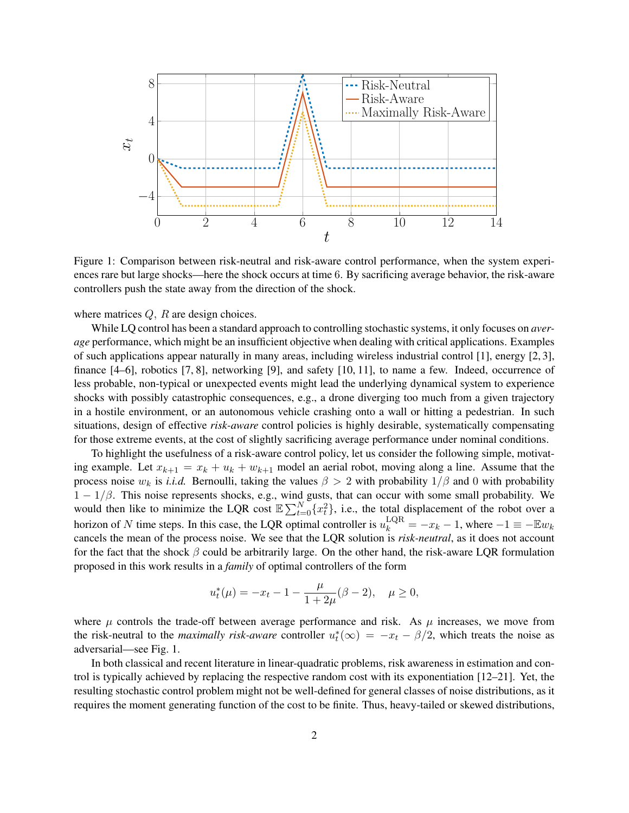

<span id="page-1-0"></span>Figure 1: Comparison between risk-neutral and risk-aware control performance, when the system experiences rare but large shocks—here the shock occurs at time 6. By sacrificing average behavior, the risk-aware controllers push the state away from the direction of the shock.

where matrices  $Q$ ,  $R$  are design choices.

While LQ control has been a standard approach to controlling stochastic systems, it only focuses on *average* performance, which might be an insufficient objective when dealing with critical applications. Examples of such applications appear naturally in many areas, including wireless industrial control [\[1\]](#page-21-0), energy [\[2,](#page-21-1) [3\]](#page-22-0), finance [\[4](#page-22-1)[–6\]](#page-22-2), robotics [\[7,](#page-22-3) [8\]](#page-23-0), networking [\[9\]](#page-23-1), and safety [\[10,](#page-23-2) [11\]](#page-23-3), to name a few. Indeed, occurrence of less probable, non-typical or unexpected events might lead the underlying dynamical system to experience shocks with possibly catastrophic consequences, e.g., a drone diverging too much from a given trajectory in a hostile environment, or an autonomous vehicle crashing onto a wall or hitting a pedestrian. In such situations, design of effective *risk-aware* control policies is highly desirable, systematically compensating for those extreme events, at the cost of slightly sacrificing average performance under nominal conditions.

To highlight the usefulness of a risk-aware control policy, let us consider the following simple, motivating example. Let  $x_{k+1} = x_k + u_k + w_{k+1}$  model an aerial robot, moving along a line. Assume that the process noise  $w_k$  is *i.i.d.* Bernoulli, taking the values  $\beta > 2$  with probability  $1/\beta$  and 0 with probability  $1 - 1/\beta$ . This noise represents shocks, e.g., wind gusts, that can occur with some small probability. We would then like to minimize the LQR cost  $\mathbb{E}\sum_{t=0}^{N} \{x_t^2\}$ , i.e., the total displacement of the robot over a horizon of N time steps. In this case, the LQR optimal controller is  $u_k^{\text{LQR}} = -x_k - 1$ , where  $-1 \equiv -\mathbb{E}w_k$ cancels the mean of the process noise. We see that the LQR solution is *risk-neutral*, as it does not account for the fact that the shock  $\beta$  could be arbitrarily large. On the other hand, the risk-aware LQR formulation proposed in this work results in a *family* of optimal controllers of the form

$$
u_t^*(\mu) = -x_t - 1 - \frac{\mu}{1 + 2\mu}(\beta - 2), \quad \mu \ge 0,
$$

where  $\mu$  controls the trade-off between average performance and risk. As  $\mu$  increases, we move from the risk-neutral to the *maximally risk-aware* controller  $u_t^*(\infty) = -x_t - \beta/2$ , which treats the noise as adversarial—see Fig. [1.](#page-1-0)

In both classical and recent literature in linear-quadratic problems, risk awareness in estimation and control is typically achieved by replacing the respective random cost with its exponentiation [\[12–](#page-23-4)[21\]](#page-23-5). Yet, the resulting stochastic control problem might not be well-defined for general classes of noise distributions, as it requires the moment generating function of the cost to be finite. Thus, heavy-tailed or skewed distributions,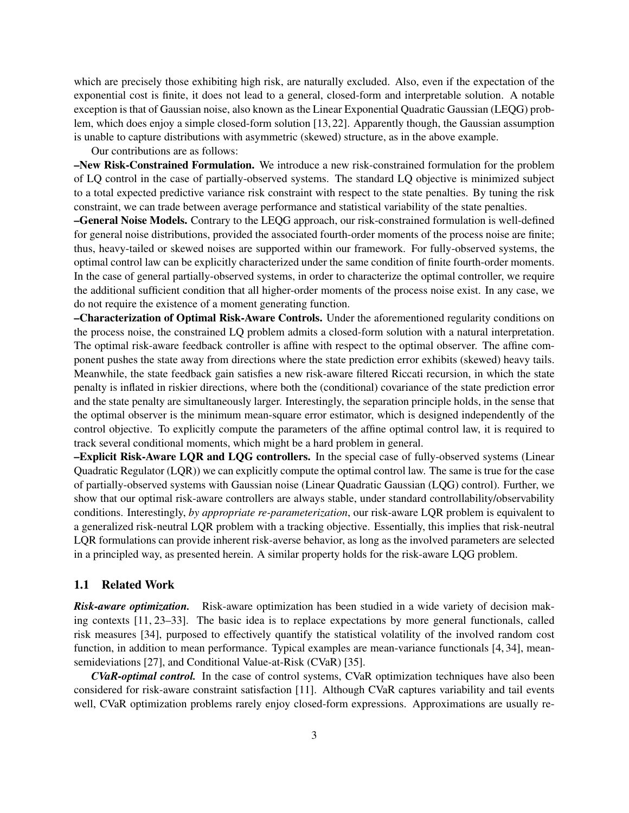which are precisely those exhibiting high risk, are naturally excluded. Also, even if the expectation of the exponential cost is finite, it does not lead to a general, closed-form and interpretable solution. A notable exception is that of Gaussian noise, also known as the Linear Exponential Quadratic Gaussian (LEQG) problem, which does enjoy a simple closed-form solution [\[13,](#page-23-6) [22\]](#page-23-7). Apparently though, the Gaussian assumption is unable to capture distributions with asymmetric (skewed) structure, as in the above example.

Our contributions are as follows:

–New Risk-Constrained Formulation. We introduce a new risk-constrained formulation for the problem of LQ control in the case of partially-observed systems. The standard LQ objective is minimized subject to a total expected predictive variance risk constraint with respect to the state penalties. By tuning the risk constraint, we can trade between average performance and statistical variability of the state penalties.

–General Noise Models. Contrary to the LEQG approach, our risk-constrained formulation is well-defined for general noise distributions, provided the associated fourth-order moments of the process noise are finite; thus, heavy-tailed or skewed noises are supported within our framework. For fully-observed systems, the optimal control law can be explicitly characterized under the same condition of finite fourth-order moments. In the case of general partially-observed systems, in order to characterize the optimal controller, we require the additional sufficient condition that all higher-order moments of the process noise exist. In any case, we do not require the existence of a moment generating function.

–Characterization of Optimal Risk-Aware Controls. Under the aforementioned regularity conditions on the process noise, the constrained LQ problem admits a closed-form solution with a natural interpretation. The optimal risk-aware feedback controller is affine with respect to the optimal observer. The affine component pushes the state away from directions where the state prediction error exhibits (skewed) heavy tails. Meanwhile, the state feedback gain satisfies a new risk-aware filtered Riccati recursion, in which the state penalty is inflated in riskier directions, where both the (conditional) covariance of the state prediction error and the state penalty are simultaneously larger. Interestingly, the separation principle holds, in the sense that the optimal observer is the minimum mean-square error estimator, which is designed independently of the control objective. To explicitly compute the parameters of the affine optimal control law, it is required to track several conditional moments, which might be a hard problem in general.

–Explicit Risk-Aware LQR and LQG controllers. In the special case of fully-observed systems (Linear Quadratic Regulator (LQR)) we can explicitly compute the optimal control law. The same is true for the case of partially-observed systems with Gaussian noise (Linear Quadratic Gaussian (LQG) control). Further, we show that our optimal risk-aware controllers are always stable, under standard controllability/observability conditions. Interestingly, *by appropriate re-parameterization*, our risk-aware LQR problem is equivalent to a generalized risk-neutral LQR problem with a tracking objective. Essentially, this implies that risk-neutral LQR formulations can provide inherent risk-averse behavior, as long as the involved parameters are selected in a principled way, as presented herein. A similar property holds for the risk-aware LQG problem.

#### 1.1 Related Work

*Risk-aware optimization.* Risk-aware optimization has been studied in a wide variety of decision making contexts [\[11,](#page-23-3) [23–](#page-24-0)[33\]](#page-24-1). The basic idea is to replace expectations by more general functionals, called risk measures [\[34\]](#page-24-2), purposed to effectively quantify the statistical volatility of the involved random cost function, in addition to mean performance. Typical examples are mean-variance functionals [\[4,](#page-22-1) [34\]](#page-24-2), meansemideviations [\[27\]](#page-24-3), and Conditional Value-at-Risk (CVaR) [\[35\]](#page-24-4).

*CVaR-optimal control.* In the case of control systems, CVaR optimization techniques have also been considered for risk-aware constraint satisfaction [\[11\]](#page-23-3). Although CVaR captures variability and tail events well, CVaR optimization problems rarely enjoy closed-form expressions. Approximations are usually re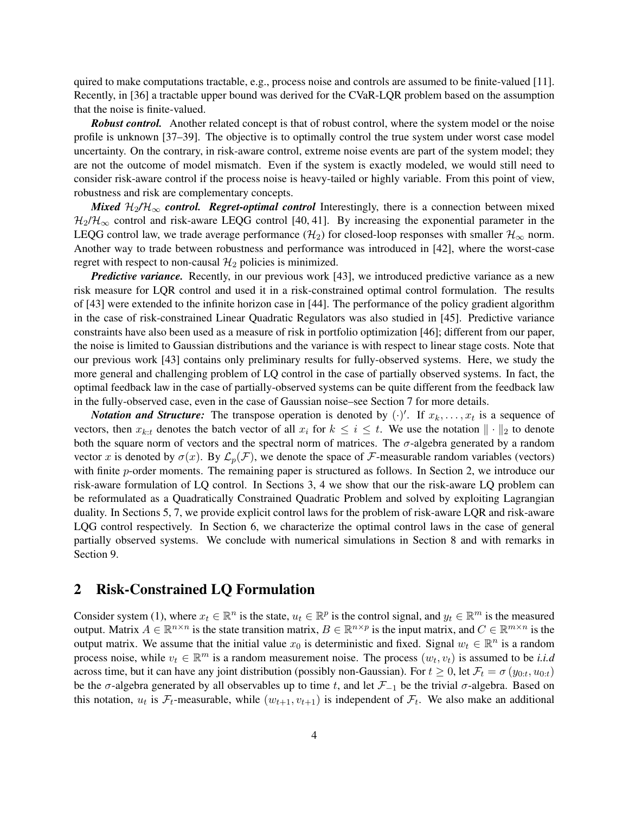quired to make computations tractable, e.g., process noise and controls are assumed to be finite-valued [\[11\]](#page-23-3). Recently, in [\[36\]](#page-24-5) a tractable upper bound was derived for the CVaR-LQR problem based on the assumption that the noise is finite-valued.

*Robust control.* Another related concept is that of robust control, where the system model or the noise profile is unknown [\[37](#page-24-6)[–39\]](#page-24-7). The objective is to optimally control the true system under worst case model uncertainty. On the contrary, in risk-aware control, extreme noise events are part of the system model; they are not the outcome of model mismatch. Even if the system is exactly modeled, we would still need to consider risk-aware control if the process noise is heavy-tailed or highly variable. From this point of view, robustness and risk are complementary concepts.

*Mixed*  $H_2/H_\infty$  *control. Regret-optimal control* Interestingly, there is a connection between mixed  $\mathcal{H}_2/\mathcal{H}_{\infty}$  control and risk-aware LEQG control [\[40,](#page-25-0) [41\]](#page-25-1). By increasing the exponential parameter in the LEQG control law, we trade average performance ( $\mathcal{H}_2$ ) for closed-loop responses with smaller  $\mathcal{H}_{\infty}$  norm. Another way to trade between robustness and performance was introduced in [\[42\]](#page-25-2), where the worst-case regret with respect to non-causal  $\mathcal{H}_2$  policies is minimized.

*Predictive variance.* Recently, in our previous work [\[43\]](#page-25-3), we introduced predictive variance as a new risk measure for LQR control and used it in a risk-constrained optimal control formulation. The results of [\[43\]](#page-25-3) were extended to the infinite horizon case in [\[44\]](#page-25-4). The performance of the policy gradient algorithm in the case of risk-constrained Linear Quadratic Regulators was also studied in [\[45\]](#page-25-5). Predictive variance constraints have also been used as a measure of risk in portfolio optimization [\[46\]](#page-25-6); different from our paper, the noise is limited to Gaussian distributions and the variance is with respect to linear stage costs. Note that our previous work [\[43\]](#page-25-3) contains only preliminary results for fully-observed systems. Here, we study the more general and challenging problem of LQ control in the case of partially observed systems. In fact, the optimal feedback law in the case of partially-observed systems can be quite different from the feedback law in the fully-observed case, even in the case of Gaussian noise–see Section [7](#page-15-0) for more details.

*Notation and Structure:* The transpose operation is denoted by  $(\cdot)'$ . If  $x_k, \ldots, x_t$  is a sequence of vectors, then  $x_{k:t}$  denotes the batch vector of all  $x_i$  for  $k \leq i \leq t$ . We use the notation  $\|\cdot\|_2$  to denote both the square norm of vectors and the spectral norm of matrices. The  $\sigma$ -algebra generated by a random vector x is denoted by  $\sigma(x)$ . By  $\mathcal{L}_p(\mathcal{F})$ , we denote the space of F-measurable random variables (vectors) with finite p-order moments. The remaining paper is structured as follows. In Section [2,](#page-3-0) we introduce our risk-aware formulation of LQ control. In Sections [3,](#page-5-0) [4](#page-7-0) we show that our the risk-aware LQ problem can be reformulated as a Quadratically Constrained Quadratic Problem and solved by exploiting Lagrangian duality. In Sections [5,](#page-8-0) [7,](#page-15-0) we provide explicit control laws for the problem of risk-aware LQR and risk-aware LQG control respectively. In Section [6,](#page-12-0) we characterize the optimal control laws in the case of general partially observed systems. We conclude with numerical simulations in Section [8](#page-18-0) and with remarks in Section [9.](#page-20-0)

### <span id="page-3-0"></span>2 Risk-Constrained LQ Formulation

Consider system [\(1\)](#page-0-0), where  $x_t \in \mathbb{R}^n$  is the state,  $u_t \in \mathbb{R}^p$  is the control signal, and  $y_t \in \mathbb{R}^m$  is the measured output. Matrix  $A \in \mathbb{R}^{n \times n}$  is the state transition matrix,  $B \in \mathbb{R}^{n \times p}$  is the input matrix, and  $C \in \mathbb{R}^{m \times n}$  is the output matrix. We assume that the initial value  $x_0$  is deterministic and fixed. Signal  $w_t \in \mathbb{R}^n$  is a random process noise, while  $v_t \in \mathbb{R}^m$  is a random measurement noise. The process  $(w_t, v_t)$  is assumed to be *i.i.d* across time, but it can have any joint distribution (possibly non-Gaussian). For  $t \ge 0$ , let  $\mathcal{F}_t = \sigma(y_{0:t}, u_{0:t})$ be the  $\sigma$ -algebra generated by all observables up to time t, and let  $\mathcal{F}_{-1}$  be the trivial  $\sigma$ -algebra. Based on this notation,  $u_t$  is  $\mathcal{F}_t$ -measurable, while  $(w_{t+1}, v_{t+1})$  is independent of  $\mathcal{F}_t$ . We also make an additional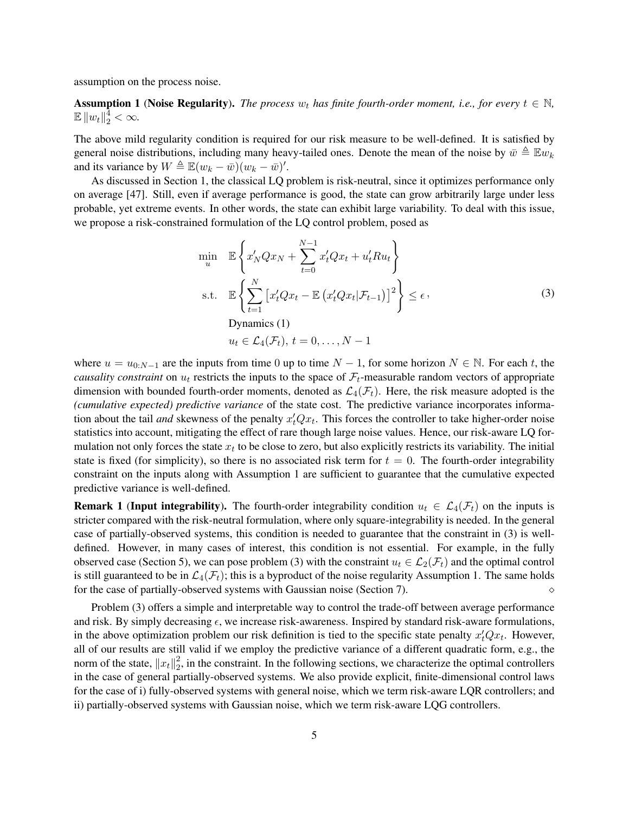assumption on the process noise.

<span id="page-4-0"></span>**Assumption 1** (Noise Regularity). *The process*  $w_t$  *has finite fourth-order moment, i.e., for every*  $t \in \mathbb{N}$ ,  $\mathbb{E} \|w_t\|_2^{\frac{1}{4}} < \infty.$ 

The above mild regularity condition is required for our risk measure to be well-defined. It is satisfied by general noise distributions, including many heavy-tailed ones. Denote the mean of the noise by  $\bar{w} \triangleq \mathbb{E} w_k$ and its variance by  $W \triangleq \mathbb{E}(w_k - \bar{w})(w_k - \bar{w})'.$ 

As discussed in Section [1,](#page-0-1) the classical LQ problem is risk-neutral, since it optimizes performance only on average [\[47\]](#page-25-7). Still, even if average performance is good, the state can grow arbitrarily large under less probable, yet extreme events. In other words, the state can exhibit large variability. To deal with this issue, we propose a risk-constrained formulation of the LQ control problem, posed as

<span id="page-4-1"></span>
$$
\min_{u} \mathbb{E}\left\{x'_{N}Qx_{N} + \sum_{t=0}^{N-1} x'_{t}Qx_{t} + u'_{t}Ru_{t}\right\}
$$
\n
$$
\text{s.t.} \mathbb{E}\left\{\sum_{t=1}^{N} \left[x'_{t}Qx_{t} - \mathbb{E}\left(x'_{t}Qx_{t}|\mathcal{F}_{t-1}\right)\right]^{2}\right\} \leq \epsilon,
$$
\n
$$
\text{Dynamics (1)}\\
u_{t} \in \mathcal{L}_{4}(\mathcal{F}_{t}), t = 0, \dots, N-1
$$
\n
$$
(3)
$$

where  $u = u_{0:N-1}$  are the inputs from time 0 up to time  $N - 1$ , for some horizon  $N \in \mathbb{N}$ . For each t, the *causality constraint* on  $u_t$  restricts the inputs to the space of  $\mathcal{F}_t$ -measurable random vectors of appropriate dimension with bounded fourth-order moments, denoted as  $\mathcal{L}_4(\mathcal{F}_t)$ . Here, the risk measure adopted is the *(cumulative expected) predictive variance* of the state cost. The predictive variance incorporates information about the tail *and* skewness of the penalty  $x_t'Qx_t$ . This forces the controller to take higher-order noise statistics into account, mitigating the effect of rare though large noise values. Hence, our risk-aware LQ formulation not only forces the state  $x_t$  to be close to zero, but also explicitly restricts its variability. The initial state is fixed (for simplicity), so there is no associated risk term for  $t = 0$ . The fourth-order integrability constraint on the inputs along with Assumption [1](#page-4-0) are sufficient to guarantee that the cumulative expected predictive variance is well-defined.

**Remark 1 (Input integrability).** The fourth-order integrability condition  $u_t \in \mathcal{L}_4(\mathcal{F}_t)$  on the inputs is stricter compared with the risk-neutral formulation, where only square-integrability is needed. In the general case of partially-observed systems, this condition is needed to guarantee that the constraint in [\(3\)](#page-4-1) is welldefined. However, in many cases of interest, this condition is not essential. For example, in the fully observed case (Section [5\)](#page-8-0), we can pose problem [\(3\)](#page-4-1) with the constraint  $u_t \in \mathcal{L}_2(\mathcal{F}_t)$  and the optimal control is still guaranteed to be in  $\mathcal{L}_4(\mathcal{F}_t)$ ; this is a byproduct of the noise regularity Assumption [1.](#page-4-0) The same holds for the case of partially-observed systems with Gaussian noise (Section [7\)](#page-15-0).

Problem [\(3\)](#page-4-1) offers a simple and interpretable way to control the trade-off between average performance and risk. By simply decreasing  $\epsilon$ , we increase risk-awareness. Inspired by standard risk-aware formulations, in the above optimization problem our risk definition is tied to the specific state penalty  $x_t^{\prime}Qx_t$ . However, all of our results are still valid if we employ the predictive variance of a different quadratic form, e.g., the norm of the state,  $||x_t||_2^2$  $\frac{2}{2}$ , in the constraint. In the following sections, we characterize the optimal controllers in the case of general partially-observed systems. We also provide explicit, finite-dimensional control laws for the case of i) fully-observed systems with general noise, which we term risk-aware LQR controllers; and ii) partially-observed systems with Gaussian noise, which we term risk-aware LQG controllers.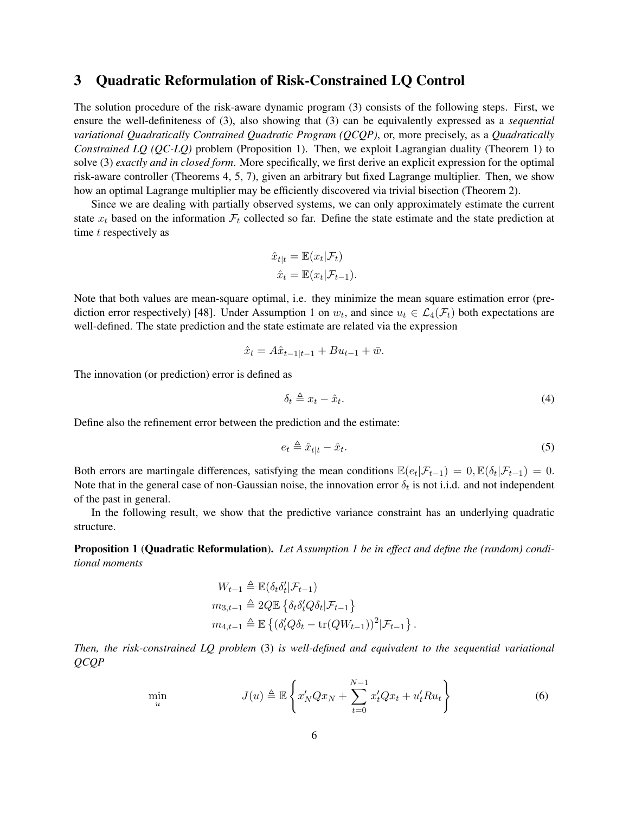# <span id="page-5-0"></span>3 Quadratic Reformulation of Risk-Constrained LQ Control

The solution procedure of the risk-aware dynamic program [\(3\)](#page-4-1) consists of the following steps. First, we ensure the well-definiteness of [\(3\)](#page-4-1), also showing that [\(3\)](#page-4-1) can be equivalently expressed as a *sequential variational Quadratically Contrained Quadratic Program (QCQP)*, or, more precisely, as a *Quadratically Constrained LQ (QC-LQ)* problem (Proposition [1\)](#page-5-1). Then, we exploit Lagrangian duality (Theorem [1\)](#page-7-1) to solve [\(3\)](#page-4-1) *exactly and in closed form*. More specifically, we first derive an explicit expression for the optimal risk-aware controller (Theorems [4,](#page-12-1) [5,](#page-13-0) [7\)](#page-15-1), given an arbitrary but fixed Lagrange multiplier. Then, we show how an optimal Lagrange multiplier may be efficiently discovered via trivial bisection (Theorem [2\)](#page-7-2).

Since we are dealing with partially observed systems, we can only approximately estimate the current state  $x_t$  based on the information  $\mathcal{F}_t$  collected so far. Define the state estimate and the state prediction at time  $t$  respectively as

$$
\hat{x}_{t|t} = \mathbb{E}(x_t|\mathcal{F}_t)
$$

$$
\hat{x}_t = \mathbb{E}(x_t|\mathcal{F}_{t-1}).
$$

Note that both values are mean-square optimal, i.e. they minimize the mean square estimation error (pre-diction error respectively) [\[48\]](#page-25-8). Under Assumption [1](#page-4-0) on  $w_t$ , and since  $u_t \in \mathcal{L}_4(\mathcal{F}_t)$  both expectations are well-defined. The state prediction and the state estimate are related via the expression

$$
\hat{x}_t = A\hat{x}_{t-1|t-1} + Bu_{t-1} + \bar{w}.
$$

The innovation (or prediction) error is defined as

u

<span id="page-5-3"></span>
$$
\delta_t \triangleq x_t - \hat{x}_t. \tag{4}
$$

Define also the refinement error between the prediction and the estimate:

$$
e_t \triangleq \hat{x}_{t|t} - \hat{x}_t. \tag{5}
$$

Both errors are martingale differences, satisfying the mean conditions  $\mathbb{E}(e_t|\mathcal{F}_{t-1}) = 0$ ,  $\mathbb{E}(\delta_t|\mathcal{F}_{t-1}) = 0$ . Note that in the general case of non-Gaussian noise, the innovation error  $\delta_t$  is not i.i.d. and not independent of the past in general.

In the following result, we show that the predictive variance constraint has an underlying quadratic structure.

<span id="page-5-1"></span>Proposition 1 (Quadratic Reformulation). *Let Assumption [1](#page-4-0) be in effect and define the (random) conditional moments*

<span id="page-5-2"></span>
$$
W_{t-1} \triangleq \mathbb{E}(\delta_t \delta_t' | \mathcal{F}_{t-1})
$$
  
\n
$$
m_{3,t-1} \triangleq 2Q \mathbb{E} \left\{ \delta_t \delta_t' Q \delta_t | \mathcal{F}_{t-1} \right\}
$$
  
\n
$$
m_{4,t-1} \triangleq \mathbb{E} \left\{ (\delta_t' Q \delta_t - \text{tr}(Q W_{t-1}))^2 | \mathcal{F}_{t-1} \right\}.
$$

*Then, the risk-constrained LQ problem* [\(3\)](#page-4-1) *is well-defined and equivalent to the sequential variational QCQP*

$$
\min_{u} \qquad J(u) \triangleq \mathbb{E}\left\{x_N'Qx_N + \sum_{t=0}^{N-1} x_t'Qx_t + u_t'Ru_t\right\} \tag{6}
$$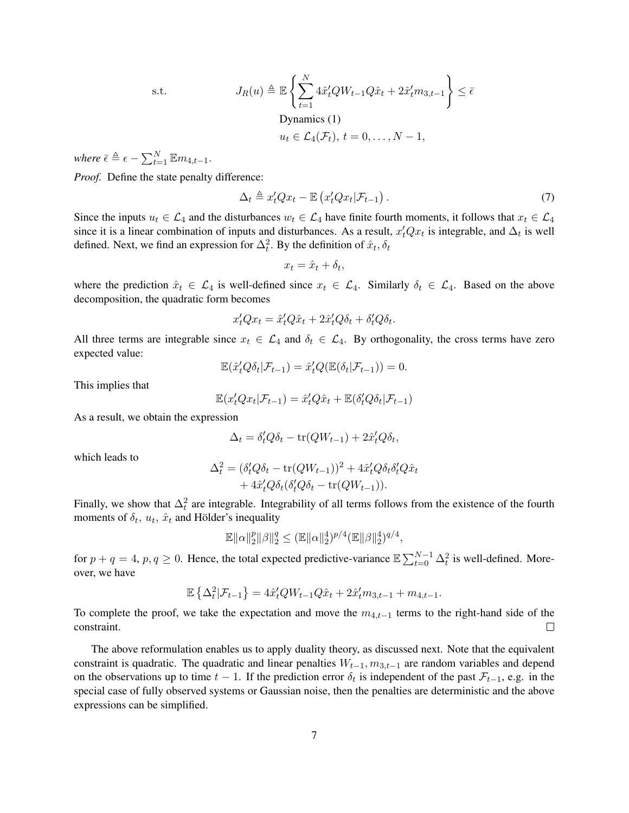s.t. 
$$
J_R(u) \triangleq \mathbb{E}\left\{\sum_{t=1}^N 4\hat{x}'_t Q W_{t-1} Q \hat{x}_t + 2\hat{x}'_t m_{3,t-1}\right\} \leq \bar{\epsilon}
$$
  
 Dynamics (1)  

$$
u_t \in \mathcal{L}_4(\mathcal{F}_t), t = 0, \dots, N-1,
$$

*where*  $\bar{\epsilon} \triangleq \epsilon - \sum_{t=1}^{N} \mathbb{E} m_{4,t-1}$ .

*Proof.* Define the state penalty difference:

$$
\Delta_t \triangleq x_t' Q x_t - \mathbb{E} \left( x_t' Q x_t | \mathcal{F}_{t-1} \right). \tag{7}
$$

Since the inputs  $u_t \in \mathcal{L}_4$  and the disturbances  $w_t \in \mathcal{L}_4$  have finite fourth moments, it follows that  $x_t \in \mathcal{L}_4$ since it is a linear combination of inputs and disturbances. As a result,  $x_t'Qx_t$  is integrable, and  $\Delta_t$  is well defined. Next, we find an expression for  $\Delta_t^2$ . By the definition of  $\hat{x}_t, \delta_t$ 

$$
x_t = \hat{x}_t + \delta_t,
$$

where the prediction  $\hat{x}_t \in \mathcal{L}_4$  is well-defined since  $x_t \in \mathcal{L}_4$ . Similarly  $\delta_t \in \mathcal{L}_4$ . Based on the above decomposition, the quadratic form becomes

$$
x_t'Qx_t = \hat{x}_t'Q\hat{x}_t + 2\hat{x}_t'Q\delta_t + \delta_t'Q\delta_t.
$$

All three terms are integrable since  $x_t \in \mathcal{L}_4$  and  $\delta_t \in \mathcal{L}_4$ . By orthogonality, the cross terms have zero expected value:

$$
\mathbb{E}(\hat{x}'_t Q \delta_t | \mathcal{F}_{t-1}) = \hat{x}'_t Q(\mathbb{E}(\delta_t | \mathcal{F}_{t-1})) = 0.
$$

This implies that

$$
\mathbb{E}(x_t'Qx_t|\mathcal{F}_{t-1}) = \hat{x}_t'Q\hat{x}_t + \mathbb{E}(\delta_t'Q\delta_t|\mathcal{F}_{t-1})
$$

As a result, we obtain the expression

$$
\Delta_t = \delta_t' Q \delta_t - \text{tr}(QW_{t-1}) + 2\hat{x}_t' Q \delta_t,
$$

which leads to

$$
\Delta_t^2 = (\delta_t^{\prime} Q \delta_t - \text{tr}(QW_{t-1}))^2 + 4\hat{x}_t^{\prime} Q \delta_t \delta_t^{\prime} Q \hat{x}_t + 4\hat{x}_t^{\prime} Q \delta_t (\delta_t^{\prime} Q \delta_t - \text{tr}(QW_{t-1})).
$$

Finally, we show that  $\Delta_t^2$  are integrable. Integrability of all terms follows from the existence of the fourth moments of  $\delta_t$ ,  $u_t$ ,  $\hat{x}_t$  and Hölder's inequality

$$
\mathbb{E}\|\alpha\|_2^p\|\beta\|_2^q \leq (\mathbb{E}\|\alpha\|_2^4)^{p/4}(\mathbb{E}\|\beta\|_2^4)^{q/4},
$$

for  $p + q = 4$ ,  $p, q \ge 0$ . Hence, the total expected predictive-variance  $\mathbb{E} \sum_{t=0}^{N-1} \Delta_t^2$  is well-defined. Moreover, we have

$$
\mathbb{E}\left\{\Delta_t^2|\mathcal{F}_{t-1}\right\} = 4\hat{x}_t'QW_{t-1}Q\hat{x}_t + 2\hat{x}_t'M_{3,t-1} + m_{4,t-1}.
$$

To complete the proof, we take the expectation and move the  $m_{4,t-1}$  terms to the right-hand side of the constraint.  $\Box$ 

The above reformulation enables us to apply duality theory, as discussed next. Note that the equivalent constraint is quadratic. The quadratic and linear penalties  $W_{t-1}$ ,  $m_{3,t-1}$  are random variables and depend on the observations up to time  $t - 1$ . If the prediction error  $\delta_t$  is independent of the past  $\mathcal{F}_{t-1}$ , e.g. in the special case of fully observed systems or Gaussian noise, then the penalties are deterministic and the above expressions can be simplified.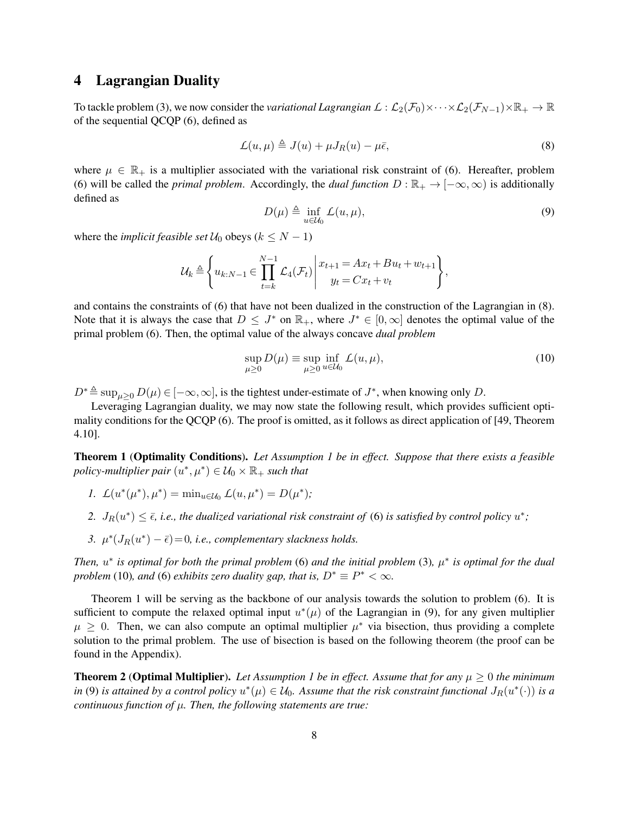# <span id="page-7-0"></span>4 Lagrangian Duality

To tackle problem [\(3\)](#page-4-1), we now consider the *variational Lagrangian*  $\mathcal{L}: \mathcal{L}_2(\mathcal{F}_0) \times \cdots \times \mathcal{L}_2(\mathcal{F}_{N-1}) \times \mathbb{R}_+ \to \mathbb{R}$ of the sequential QCQP [\(6\)](#page-5-2), defined as

$$
\mathcal{L}(u,\mu) \triangleq J(u) + \mu J_R(u) - \mu \bar{\epsilon},\tag{8}
$$

<span id="page-7-5"></span>where  $\mu \in \mathbb{R}_+$  is a multiplier associated with the variational risk constraint of [\(6\)](#page-5-2). Hereafter, problem [\(6\)](#page-5-2) will be called the *primal problem*. Accordingly, the *dual function*  $D : \mathbb{R}_+ \to [-\infty, \infty)$  is additionally defined as

<span id="page-7-4"></span><span id="page-7-3"></span>
$$
D(\mu) \triangleq \inf_{u \in \mathcal{U}_0} L(u, \mu), \tag{9}
$$

where the *implicit feasible set*  $U_0$  obeys ( $k \le N - 1$ )

$$
\mathcal{U}_k \triangleq \left\{ u_{k:N-1} \in \prod_{t=k}^{N-1} \mathcal{L}_4(\mathcal{F}_t) \middle| \begin{array}{c} x_{t+1} = Ax_t + Bu_t + w_{t+1} \\ y_t = Cx_t + v_t \end{array} \right\},\,
$$

and contains the constraints of [\(6\)](#page-5-2) that have not been dualized in the construction of the Lagrangian in [\(8\)](#page-7-3). Note that it is always the case that  $D \leq J^*$  on  $\mathbb{R}_+$ , where  $J^* \in [0,\infty]$  denotes the optimal value of the primal problem [\(6\)](#page-5-2). Then, the optimal value of the always concave *dual problem*

$$
\sup_{\mu \ge 0} D(\mu) \equiv \sup_{\mu \ge 0} \inf_{u \in \mathcal{U}_0} L(u, \mu), \tag{10}
$$

 $D^* \triangleq \sup_{\mu \geq 0} D(\mu) \in [-\infty, \infty]$ , is the tightest under-estimate of  $J^*$ , when knowing only D.

Leveraging Lagrangian duality, we may now state the following result, which provides sufficient optimality conditions for the QCQP [\(6\)](#page-5-2). The proof is omitted, as it follows as direct application of [\[49,](#page-25-9) Theorem 4.10].

<span id="page-7-1"></span>Theorem 1 (Optimality Conditions). *Let Assumption [1](#page-4-0) be in effect. Suppose that there exists a feasible*  $policy-multiplier pair$   $(u^*,\mu^*) \in \mathcal{U}_0 \times \mathbb{R}_+$  *such that* 

- *1.*  $\mathcal{L}(u^*(\mu^*), \mu^*) = \min_{u \in \mathcal{U}_0} \mathcal{L}(u, \mu^*) = D(\mu^*);$
- 2.  $J_R(u^*) \leq \bar{\epsilon}$ , *i.e., the dualized variational risk constraint of* [\(6\)](#page-5-2) *is satisfied by control policy*  $u^*$ ;
- 3.  $\mu^*(J_R(u^*) \bar{\epsilon}) = 0$ , *i.e.*, complementary slackness holds.

*Then,*  $u^*$  is optimal for both the primal problem [\(6\)](#page-5-2) and the initial problem [\(3\)](#page-4-1),  $\mu^*$  is optimal for the dual *problem* [\(10\)](#page-7-4)*, and* [\(6\)](#page-5-2) *exhibits zero duality gap, that is,*  $D^* \equiv P^* < \infty$ *.* 

Theorem [1](#page-7-1) will be serving as the backbone of our analysis towards the solution to problem [\(6\)](#page-5-2). It is sufficient to compute the relaxed optimal input  $u^*(\mu)$  of the Lagrangian in [\(9\)](#page-7-5), for any given multiplier  $\mu \geq 0$ . Then, we can also compute an optimal multiplier  $\mu^*$  via bisection, thus providing a complete solution to the primal problem. The use of bisection is based on the following theorem (the proof can be found in the Appendix).

<span id="page-7-2"></span>**Theorem 2 (Optimal Multiplier).** *Let Assumption [1](#page-4-0) be in effect. Assume that for any*  $\mu \geq 0$  *the minimum in* [\(9\)](#page-7-5) *is attained by a control policy*  $u^*(\mu) \in \mathcal{U}_0$ . Assume that the risk constraint functional  $J_R(u^*(\cdot))$  is a *continuous function of* µ*. Then, the following statements are true:*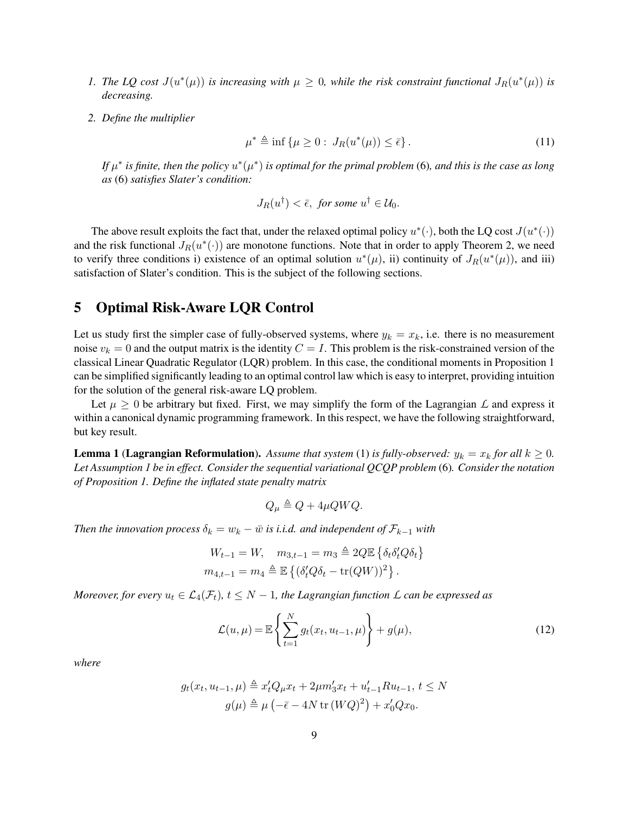- *1. The LQ cost*  $J(u^*(\mu))$  *is increasing with*  $\mu \geq 0$ *, while the risk constraint functional*  $J_R(u^*(\mu))$  *is decreasing.*
- *2. Define the multiplier*

$$
\mu^* \triangleq \inf \{ \mu \ge 0 : J_R(u^*(\mu)) \le \bar{\epsilon} \}.
$$
\n(11)

If  $\mu^*$  is finite, then the policy  $u^*(\mu^*)$  is optimal for the primal problem [\(6\)](#page-5-2), and this is the case as long *as* [\(6\)](#page-5-2) *satisfies Slater's condition:*

<span id="page-8-3"></span>
$$
J_R(u^{\dagger}) < \bar{\epsilon}, \text{ for some } u^{\dagger} \in \mathcal{U}_0.
$$

The above result exploits the fact that, under the relaxed optimal policy  $u^*(\cdot)$ , both the LQ cost  $J(u^*(\cdot))$ and the risk functional  $J_R(u^*(\cdot))$  are monotone functions. Note that in order to apply Theorem [2,](#page-7-2) we need to verify three conditions i) existence of an optimal solution  $u^*(\mu)$ , ii) continuity of  $J_R(u^*(\mu))$ , and iii) satisfaction of Slater's condition. This is the subject of the following sections.

### <span id="page-8-0"></span>5 Optimal Risk-Aware LQR Control

Let us study first the simpler case of fully-observed systems, where  $y_k = x_k$ , i.e. there is no measurement noise  $v_k = 0$  and the output matrix is the identity  $C = I$ . This problem is the risk-constrained version of the classical Linear Quadratic Regulator (LQR) problem. In this case, the conditional moments in Proposition [1](#page-5-1) can be simplified significantly leading to an optimal control law which is easy to interpret, providing intuition for the solution of the general risk-aware LQ problem.

Let  $\mu \geq 0$  be arbitrary but fixed. First, we may simplify the form of the Lagrangian *L* and express it within a canonical dynamic programming framework. In this respect, we have the following straightforward, but key result.

<span id="page-8-2"></span>**Lemma 1 (Lagrangian Reformulation).** Assume that system [\(1\)](#page-0-0) is fully-observed:  $y_k = x_k$  for all  $k \ge 0$ . *Let Assumption [1](#page-4-0) be in effect. Consider the sequential variational QCQP problem* [\(6\)](#page-5-2)*. Consider the notation of Proposition [1.](#page-5-1) Define the inflated state penalty matrix*

<span id="page-8-1"></span>
$$
Q_{\mu} \triangleq Q + 4\mu Q W Q.
$$

*Then the innovation process*  $\delta_k = w_k - \bar{w}$  *is i.i.d. and independent of*  $\mathcal{F}_{k-1}$  *with* 

$$
W_{t-1} = W, \quad m_{3,t-1} = m_3 \triangleq 2Q\mathbb{E}\left\{\delta_t \delta_t' Q \delta_t\right\}
$$

$$
m_{4,t-1} = m_4 \triangleq \mathbb{E}\left\{(\delta_t' Q \delta_t - \text{tr}(QW))^2\right\}.
$$

*Moreover, for every*  $u_t \in \mathcal{L}_4(\mathcal{F}_t)$ ,  $t \leq N-1$ , the Lagrangian function  $\mathcal{L}$  can be expressed as

$$
\mathcal{L}(u,\mu) = \mathbb{E}\left\{\sum_{t=1}^{N} g_t(x_t, u_{t-1}, \mu)\right\} + g(\mu),\tag{12}
$$

*where*

$$
g_t(x_t, u_{t-1}, \mu) \triangleq x'_t Q_\mu x_t + 2\mu m'_3 x_t + u'_{t-1} R u_{t-1}, t \le N
$$
  

$$
g(\mu) \triangleq \mu \left(-\bar{\epsilon} - 4N \operatorname{tr} (WQ)^2\right) + x'_0 Q x_0.
$$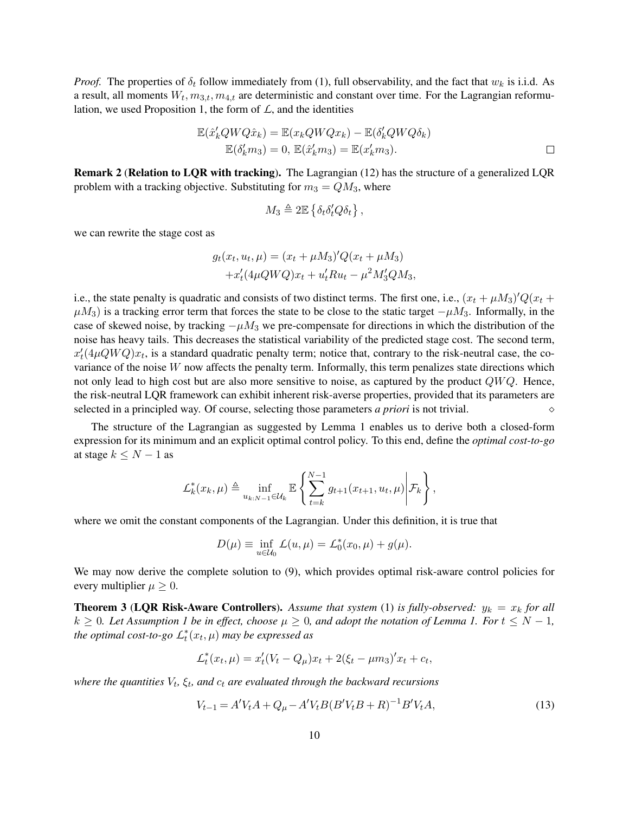*Proof.* The properties of  $\delta_t$  follow immediately from [\(1\)](#page-0-0), full observability, and the fact that  $w_k$  is i.i.d. As a result, all moments  $W_t$ ,  $m_{3,t}$ ,  $m_{4,t}$  are deterministic and constant over time. For the Lagrangian reformu-lation, we used Proposition [1,](#page-5-1) the form of  $\mathcal{L}$ , and the identities

$$
\mathbb{E}(\hat{x}'_k Q W Q \hat{x}_k) = \mathbb{E}(x_k Q W Q x_k) - \mathbb{E}(\delta'_k Q W Q \delta_k)
$$
  

$$
\mathbb{E}(\delta'_k m_3) = 0, \mathbb{E}(\hat{x}'_k m_3) = \mathbb{E}(x'_k m_3).
$$

<span id="page-9-0"></span>Remark 2 (Relation to LQR with tracking). The Lagrangian [\(12\)](#page-8-1) has the structure of a generalized LQR problem with a tracking objective. Substituting for  $m_3 = QM_3$ , where

$$
M_3 \triangleq 2\mathbb{E}\left\{\delta_t\delta_t'Q\delta_t\right\},\,
$$

we can rewrite the stage cost as

$$
g_t(x_t, u_t, \mu) = (x_t + \mu M_3)'Q(x_t + \mu M_3) + x'_t (4\mu Q W Q)x_t + u'_t Ru_t - \mu^2 M'_3 Q M_3,
$$

i.e., the state penalty is quadratic and consists of two distinct terms. The first one, i.e.,  $(x_t + \mu M_3)'Q(x_t +$  $\mu M_3$ ) is a tracking error term that forces the state to be close to the static target  $-\mu M_3$ . Informally, in the case of skewed noise, by tracking  $-\mu M_3$  we pre-compensate for directions in which the distribution of the noise has heavy tails. This decreases the statistical variability of the predicted stage cost. The second term,  $x_t'(4\mu Q W Q)x_t$ , is a standard quadratic penalty term; notice that, contrary to the risk-neutral case, the covariance of the noise  $W$  now affects the penalty term. Informally, this term penalizes state directions which not only lead to high cost but are also more sensitive to noise, as captured by the product  $QWQ$ . Hence, the risk-neutral LQR framework can exhibit inherent risk-averse properties, provided that its parameters are selected in a principled way. Of course, selecting those parameters *a priori* is not trivial.

The structure of the Lagrangian as suggested by Lemma [1](#page-8-2) enables us to derive both a closed-form expression for its minimum and an explicit optimal control policy. To this end, define the *optimal cost-to-go* at stage  $k \leq N - 1$  as

<span id="page-9-1"></span>
$$
\mathcal{L}_k^*(x_k,\mu) \triangleq \inf_{u_{k:N-1} \in \mathcal{U}_k} \mathbb{E} \left\{ \sum_{t=k}^{N-1} g_{t+1}(x_{t+1},u_t,\mu) \middle| \mathcal{F}_k \right\},\,
$$

where we omit the constant components of the Lagrangian. Under this definition, it is true that

$$
D(\mu) \equiv \inf_{u \in \mathcal{U}_0} L(u, \mu) = L_0^*(x_0, \mu) + g(\mu).
$$

We may now derive the complete solution to [\(9\)](#page-7-5), which provides optimal risk-aware control policies for every multiplier  $\mu \geq 0$ .

**Theorem 3 (LQR Risk-Aware Controllers).** Assume that system [\(1\)](#page-0-0) is fully-observed:  $y_k = x_k$  for all  $k \geq 0$ *. Let Assumption [1](#page-4-0) be in effect, choose*  $\mu \geq 0$ *, and adopt the notation of Lemma [1.](#page-8-2) For*  $t \leq N - 1$ *, the optimal cost-to-go*  $L_t^*(x_t, \mu)$  *may be expressed as* 

$$
L_t^*(x_t, \mu) = x_t'(V_t - Q_\mu)x_t + 2(\xi_t - \mu m_3)'x_t + c_t,
$$

where the quantities  $V_t$ ,  $\xi_t$ , and  $c_t$  are evaluated through the backward recursions

$$
V_{t-1} = A'V_t A + Q_\mu - A'V_t B (B'V_t B + R)^{-1} B'V_t A,
$$
\n(13)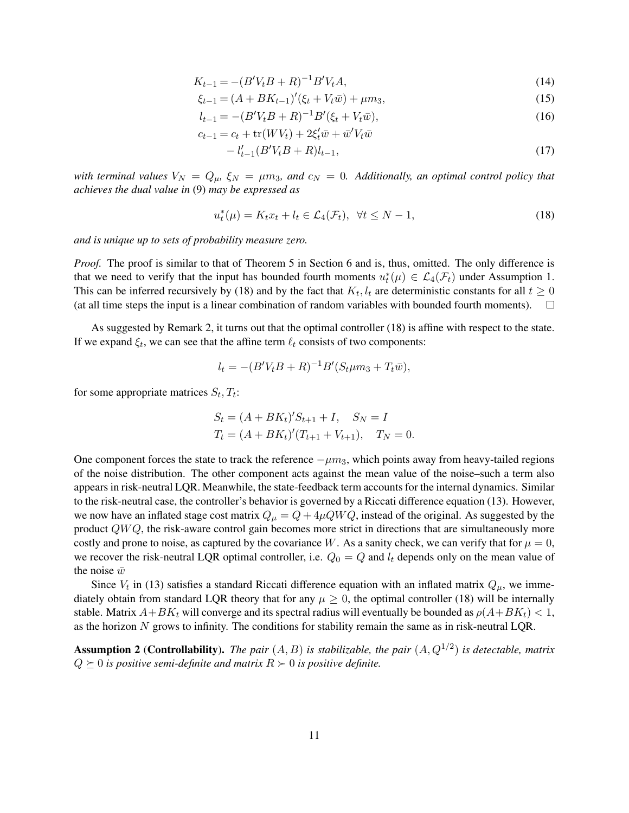$$
K_{t-1} = -(B'V_t B + R)^{-1} B' V_t A,
$$
\n(14)

$$
\xi_{t-1} = (A + BK_{t-1})'(\xi_t + V_t \bar{w}) + \mu m_3,\tag{15}
$$

$$
l_{t-1} = -(B'V_t B + R)^{-1}B'(\xi_t + V_t \bar{w}),\tag{16}
$$

$$
c_{t-1} = c_t + \text{tr}(WV_t) + 2\xi'_t \bar{w} + \bar{w}'V_t \bar{w}
$$

<span id="page-10-0"></span>
$$
-l'_{t-1}(B'V_tB + R)l_{t-1},\tag{17}
$$

*with terminal values*  $V_N = Q_\mu$ ,  $\xi_N = \mu m_3$ , and  $c_N = 0$ . Additionally, an optimal control policy that *achieves the dual value in* [\(9\)](#page-7-5) *may be expressed as*

$$
u_t^*(\mu) = K_t x_t + l_t \in \mathcal{L}_4(\mathcal{F}_t), \ \forall t \leq N - 1,\tag{18}
$$

*and is unique up to sets of probability measure zero.*

*Proof.* The proof is similar to that of Theorem [5](#page-13-0) in Section [6](#page-12-0) and is, thus, omitted. The only difference is that we need to verify that the input has bounded fourth moments  $u_t^*(\mu) \in \mathcal{L}_4(\mathcal{F}_t)$  under Assumption [1.](#page-4-0) This can be inferred recursively by [\(18\)](#page-10-0) and by the fact that  $K_t$ ,  $l_t$  are deterministic constants for all  $t \geq 0$ (at all time steps the input is a linear combination of random variables with bounded fourth moments).  $\Box$ 

As suggested by Remark [2,](#page-9-0) it turns out that the optimal controller [\(18\)](#page-10-0) is affine with respect to the state. If we expand  $\xi_t$ , we can see that the affine term  $\ell_t$  consists of two components:

$$
l_t = -(B'V_tB + R)^{-1}B'(S_t\mu m_3 + T_t\bar{w}),
$$

for some appropriate matrices  $S_t, T_t$ :

$$
S_t = (A + BK_t)'S_{t+1} + I, \quad S_N = I
$$
  
\n
$$
T_t = (A + BK_t)'(T_{t+1} + V_{t+1}), \quad T_N = 0.
$$

One component forces the state to track the reference  $-\mu m_3$ , which points away from heavy-tailed regions of the noise distribution. The other component acts against the mean value of the noise–such a term also appears in risk-neutral LQR. Meanwhile, the state-feedback term accounts for the internal dynamics. Similar to the risk-neutral case, the controller's behavior is governed by a Riccati difference equation [\(13\)](#page-9-1). However, we now have an inflated stage cost matrix  $Q_{\mu} = Q + 4\mu Q W Q$ , instead of the original. As suggested by the product  $QWQ$ , the risk-aware control gain becomes more strict in directions that are simultaneously more costly and prone to noise, as captured by the covariance W. As a sanity check, we can verify that for  $\mu = 0$ , we recover the risk-neutral LQR optimal controller, i.e.  $Q_0 = Q$  and  $l_t$  depends only on the mean value of the noise  $\bar{w}$ 

Since  $V_t$  in [\(13\)](#page-9-1) satisfies a standard Riccati difference equation with an inflated matrix  $Q_\mu$ , we immediately obtain from standard LQR theory that for any  $\mu \geq 0$ , the optimal controller [\(18\)](#page-10-0) will be internally stable. Matrix  $A+BK_t$  will converge and its spectral radius will eventually be bounded as  $\rho(A+BK_t) < 1$ , as the horizon N grows to infinity. The conditions for stability remain the same as in risk-neutral LQR.

<span id="page-10-1"></span>**Assumption 2 (Controllability).** The pair  $(A, B)$  is stabilizable, the pair  $(A, Q^{1/2})$  is detectable, matrix  $Q \succeq 0$  *is positive semi-definite and matrix*  $R \succeq 0$  *is positive definite.*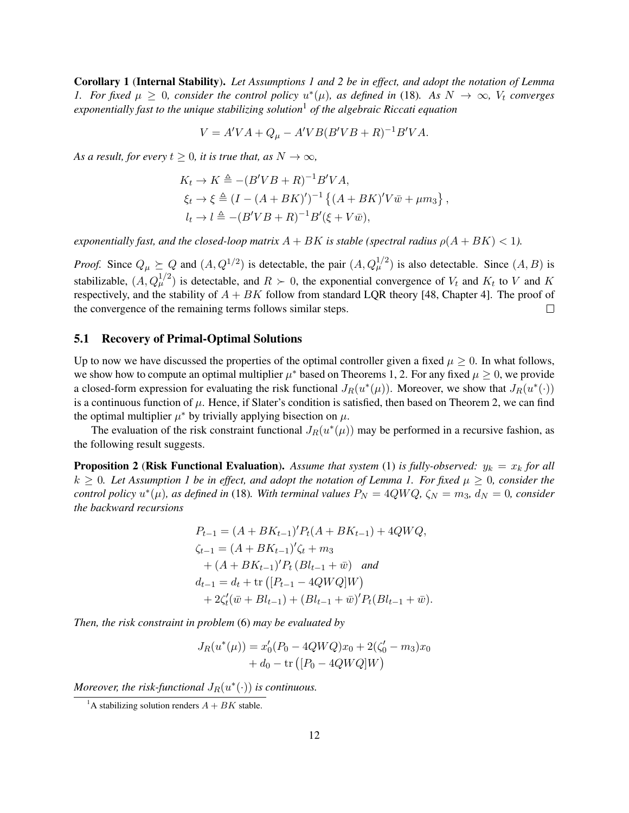<span id="page-11-1"></span>Corollary 1 (Internal Stability). *Let Assumptions [1](#page-4-0) and [2](#page-10-1) be in effect, and adopt the notation of Lemma [1.](#page-8-2)* For fixed  $\mu \geq 0$ , consider the control policy  $u^*(\mu)$ , as defined in [\(18\)](#page-10-0). As  $N \to \infty$ ,  $V_t$  converges *exponentially fast to the unique stabilizing solution*[1](#page-11-0) *of the algebraic Riccati equation*

$$
V = A'VA + Q\mu - A'VB(B'VB + R)-1B'VA.
$$

*As a result, for every*  $t \geq 0$ *, it is true that, as*  $N \to \infty$ *,* 

$$
K_t \to K \triangleq -(B'VB + R)^{-1}B'VA,
$$
  
\n
$$
\xi_t \to \xi \triangleq (I - (A + BK)')^{-1} \{(A + BK)'V\overline{w} + \mu m_3\},
$$
  
\n
$$
l_t \to l \triangleq -(B'VB + R)^{-1}B'(\xi + V\overline{w}),
$$

*exponentially fast, and the closed-loop matrix*  $A + BK$  *is stable (spectral radius*  $\rho(A + BK) < 1$ *).* 

*Proof.* Since  $Q_{\mu} \succeq Q$  and  $(A, Q^{1/2})$  is detectable, the pair  $(A, Q_{\mu}^{1/2})$  is also detectable. Since  $(A, B)$  is stabilizable,  $(A, Q_{\mu}^{1/2})$  is detectable, and  $R \succ 0$ , the exponential convergence of  $V_t$  and  $K_t$  to V and K respectively, and the stability of  $A + BK$  follow from standard LQR theory [\[48,](#page-25-8) Chapter 4]. The proof of the convergence of the remaining terms follows similar steps.  $\Box$ 

#### 5.1 Recovery of Primal-Optimal Solutions

Up to now we have discussed the properties of the optimal controller given a fixed  $\mu \geq 0$ . In what follows, we show how to compute an optimal multiplier  $\mu^*$  based on Theorems [1,](#page-7-1) [2.](#page-7-2) For any fixed  $\mu \geq 0$ , we provide a closed-form expression for evaluating the risk functional  $J_R(u^*(\mu))$ . Moreover, we show that  $J_R(u^*(\cdot))$ is a continuous function of  $\mu$ . Hence, if Slater's condition is satisfied, then based on Theorem [2,](#page-7-2) we can find the optimal multiplier  $\mu^*$  by trivially applying bisection on  $\mu$ .

The evaluation of the risk constraint functional  $J_R(u^*(\mu))$  may be performed in a recursive fashion, as the following result suggests.

**Proposition 2 (Risk Functional Evaluation).** Assume that system [\(1\)](#page-0-0) is fully-observed:  $y_k = x_k$  for all  $k \geq 0$ . Let Assumption [1](#page-4-0) be in effect, and adopt the notation of Lemma [1.](#page-8-2) For fixed  $\mu \geq 0$ , consider the *control policy*  $u^*(\mu)$ *, as defined in* [\(18\)](#page-10-0)*. With terminal values*  $P_N = 4QWQ$ *,*  $\zeta_N = m_3$ *,*  $d_N = 0$ *, consider the backward recursions*

$$
P_{t-1} = (A + BK_{t-1})'P_t(A + BK_{t-1}) + 4QWQ,
$$
  
\n
$$
\zeta_{t-1} = (A + BK_{t-1})'\zeta_t + m_3
$$
  
\n
$$
+ (A + BK_{t-1})'P_t(B_{t-1} + \bar{w}) \quad and
$$
  
\n
$$
d_{t-1} = d_t + \text{tr}([P_{t-1} - 4QWQ]W)
$$
  
\n
$$
+ 2\zeta'_t(\bar{w} + Bl_{t-1}) + (Bl_{t-1} + \bar{w})'P_t(B_{t-1} + \bar{w}).
$$

*Then, the risk constraint in problem* [\(6\)](#page-5-2) *may be evaluated by*

$$
J_R(u^*(\mu)) = x'_0(P_0 - 4QWQ)x_0 + 2(\zeta'_0 - m_3)x_0
$$
  
+ d<sub>0</sub> - tr ([P<sub>0</sub> - 4QWQ]W)

*Moreover, the risk-functional*  $J_R(u^*(\cdot))$  *is continuous.* 

<span id="page-11-0"></span><sup>&</sup>lt;sup>1</sup>A stabilizing solution renders  $A + BK$  stable.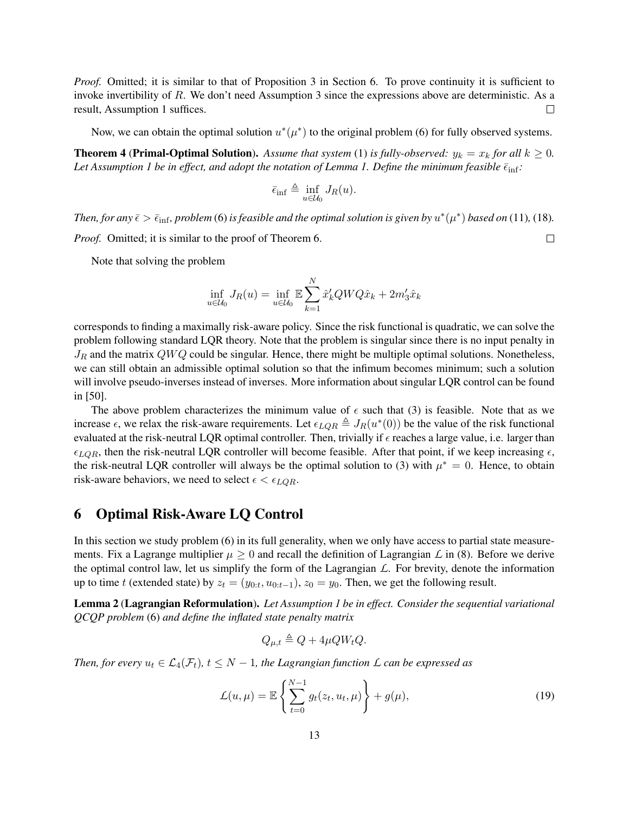*Proof.* Omitted; it is similar to that of Proposition [3](#page-14-0) in Section [6.](#page-12-0) To prove continuity it is sufficient to invoke invertibility of R. We don't need Assumption [3](#page-13-1) since the expressions above are deterministic. As a result, Assumption [1](#page-4-0) suffices.  $\Box$ 

Now, we can obtain the optimal solution  $u^*(\mu^*)$  to the original problem [\(6\)](#page-5-2) for fully observed systems.

<span id="page-12-1"></span>**Theorem 4 (Primal-Optimal Solution).** Assume that system [\(1\)](#page-0-0) is fully-observed:  $y_k = x_k$  for all  $k \ge 0$ . *Let Assumption [1](#page-4-0) be in effect, and adopt the notation of Lemma [1.](#page-8-2) Define the minimum feasible*  $\bar{\epsilon}_{\text{inf}}$ *:* 

$$
\bar{\epsilon}_{\inf} \triangleq \inf_{u \in \mathcal{U}_0} J_R(u).
$$

*Then, for any*  $\bar{\epsilon} > \bar{\epsilon}_{\rm inf}$ , problem [\(6\)](#page-5-2) is feasible and the optimal solution is given by  $u^*(\mu^*)$  based on [\(11\)](#page-8-3), [\(18\)](#page-10-0). *Proof.* Omitted; it is similar to the proof of Theorem [6.](#page-14-1)  $\Box$ 

Note that solving the problem

$$
\inf_{u \in \mathcal{U}_0} J_R(u) = \inf_{u \in \mathcal{U}_0} \mathbb{E} \sum_{k=1}^N \hat{x}'_k Q W Q \hat{x}_k + 2m'_3 \hat{x}_k
$$

corresponds to finding a maximally risk-aware policy. Since the risk functional is quadratic, we can solve the problem following standard LQR theory. Note that the problem is singular since there is no input penalty in  $J_R$  and the matrix  $QWQ$  could be singular. Hence, there might be multiple optimal solutions. Nonetheless, we can still obtain an admissible optimal solution so that the infimum becomes minimum; such a solution will involve pseudo-inverses instead of inverses. More information about singular LQR control can be found in [\[50\]](#page-25-10).

The above problem characterizes the minimum value of  $\epsilon$  such that [\(3\)](#page-4-1) is feasible. Note that as we increase  $\epsilon$ , we relax the risk-aware requirements. Let  $\epsilon_{LQR} \triangleq J_R(u^*(0))$  be the value of the risk functional evaluated at the risk-neutral LQR optimal controller. Then, trivially if  $\epsilon$  reaches a large value, i.e. larger than  $\epsilon_{LQR}$ , then the risk-neutral LQR controller will become feasible. After that point, if we keep increasing  $\epsilon$ , the risk-neutral LQR controller will always be the optimal solution to [\(3\)](#page-4-1) with  $\mu^* = 0$ . Hence, to obtain risk-aware behaviors, we need to select  $\epsilon < \epsilon_{LQR}$ .

### <span id="page-12-0"></span>6 Optimal Risk-Aware LQ Control

In this section we study problem [\(6\)](#page-5-2) in its full generality, when we only have access to partial state measurements. Fix a Lagrange multiplier  $\mu > 0$  and recall the definition of Lagrangian L in [\(8\)](#page-7-3). Before we derive the optimal control law, let us simplify the form of the Lagrangian *L*. For brevity, denote the information up to time t (extended state) by  $z_t = (y_{0:t}, u_{0:t-1}), z_0 = y_0$ . Then, we get the following result.

<span id="page-12-2"></span>Lemma 2 (Lagrangian Reformulation). *Let Assumption [1](#page-4-0) be in effect. Consider the sequential variational QCQP problem* [\(6\)](#page-5-2) *and define the inflated state penalty matrix*

$$
Q_{\mu,t} \triangleq Q + 4\mu Q W_t Q.
$$

*Then, for every*  $u_t \in \mathcal{L}_4(\mathcal{F}_t)$ ,  $t \leq N-1$ , the Lagrangian function  $\mathcal{L}$  *can be expressed as* 

$$
\mathcal{L}(u,\mu) = \mathbb{E}\left\{\sum_{t=0}^{N-1} g_t(z_t, u_t, \mu)\right\} + g(\mu),\tag{19}
$$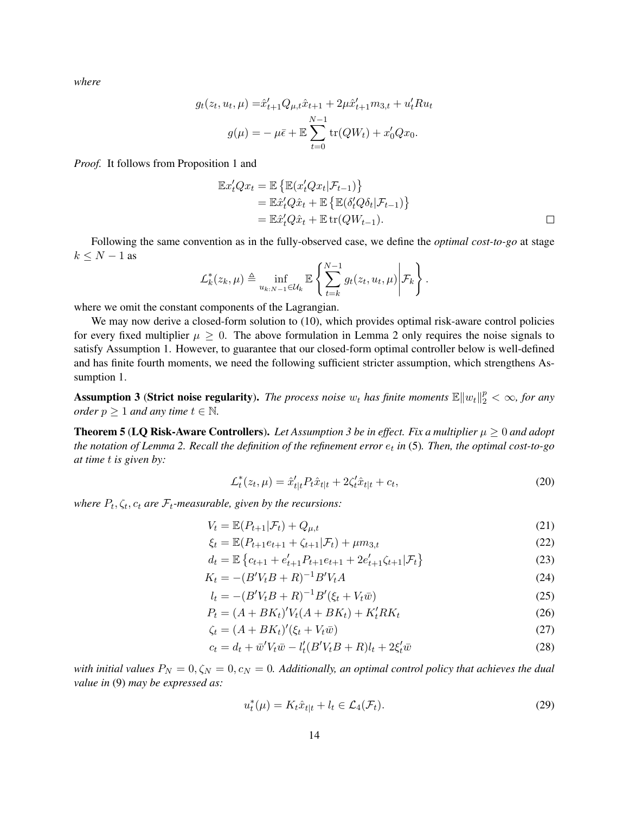*where*

$$
g_t(z_t, u_t, \mu) = \hat{x}'_{t+1} Q_{\mu, t} \hat{x}_{t+1} + 2\mu \hat{x}'_{t+1} m_{3, t} + u'_t R u_t
$$

$$
g(\mu) = -\mu \bar{\epsilon} + \mathbb{E} \sum_{t=0}^{N-1} \text{tr}(QW_t) + x'_0 Q x_0.
$$

*Proof.* It follows from Proposition [1](#page-5-1) and

$$
\mathbb{E}x'_t Q x_t = \mathbb{E} \left\{ \mathbb{E}(x'_t Q x_t | \mathcal{F}_{t-1}) \right\}
$$
  
= 
$$
\mathbb{E}\hat{x}'_t Q \hat{x}_t + \mathbb{E} \left\{ \mathbb{E}(\delta_t' Q \delta_t | \mathcal{F}_{t-1}) \right\}
$$
  
= 
$$
\mathbb{E}\hat{x}'_t Q \hat{x}_t + \mathbb{E} \operatorname{tr}(QW_{t-1}).
$$

Following the same convention as in the fully-observed case, we define the *optimal cost-to-go* at stage  $k \leq N-1$  as

$$
\mathcal{L}_{k}^{*}(z_{k},\mu) \triangleq \inf_{u_{k:N-1} \in \mathcal{U}_{k}} \mathbb{E}\left\{\sum_{t=k}^{N-1} g_{t}(z_{t},u_{t},\mu)\middle|\mathcal{F}_{k}\right\}.
$$

where we omit the constant components of the Lagrangian.

We may now derive a closed-form solution to [\(10\)](#page-7-4), which provides optimal risk-aware control policies for every fixed multiplier  $\mu \geq 0$ . The above formulation in Lemma [2](#page-12-2) only requires the noise signals to satisfy Assumption [1.](#page-4-0) However, to guarantee that our closed-form optimal controller below is well-defined and has finite fourth moments, we need the following sufficient stricter assumption, which strengthens Assumption [1.](#page-4-0)

<span id="page-13-1"></span>**Assumption 3 (Strict noise regularity).** The process noise  $w_t$  has finite moments  $\mathbb{E} \|w_t\|_2^p < \infty$ , for any *order*  $p \geq 1$  *and any time*  $t \in \mathbb{N}$ *.* 

<span id="page-13-0"></span>**Theorem 5 (LQ Risk-Aware Controllers).** Let Assumption [3](#page-13-1) be in effect. Fix a multiplier  $\mu \geq 0$  and adopt *the notation of Lemma [2.](#page-12-2) Recall the definition of the refinement error* e<sup>t</sup> *in* [\(5\)](#page-5-3)*. Then, the optimal cost-to-go at time* t *is given by:*

<span id="page-13-6"></span><span id="page-13-3"></span><span id="page-13-2"></span>
$$
\mathcal{L}_t^*(z_t, \mu) = \hat{x}'_{t|t} P_t \hat{x}_{t|t} + 2\zeta'_t \hat{x}_{t|t} + c_t,
$$
\n(20)

where  $P_t$ ,  $\zeta_t$ ,  $c_t$  are  $\mathcal{F}_t$ -measurable, given by the recursions:

$$
V_t = \mathbb{E}(P_{t+1}|\mathcal{F}_t) + Q_{\mu,t}
$$
\n(21)

$$
\xi_t = \mathbb{E}(P_{t+1}e_{t+1} + \zeta_{t+1}|\mathcal{F}_t) + \mu m_{3,t} \tag{22}
$$

$$
d_t = \mathbb{E}\left\{c_{t+1} + e_{t+1}'P_{t+1}e_{t+1} + 2e_{t+1}'\zeta_{t+1}|\mathcal{F}_t\right\}
$$
\n(23)

$$
K_t = -(B'V_t B + R)^{-1} B' V_t A
$$
\n(24)

$$
l_t = -(B'V_tB + R)^{-1}B'(\xi_t + V_t\bar{w})
$$
\n(25)

$$
P_t = (A + BK_t)'V_t(A + BK_t) + K_t'RK_t
$$
\n(26)

$$
\zeta_t = (A + BK_t)'(\xi_t + V_t \bar{w})\tag{27}
$$

$$
c_t = d_t + \bar{w}'V_t\bar{w} - l'_t(B'V_tB + R)l_t + 2\xi'_t\bar{w}
$$
\n(28)

*with initial values*  $P_N = 0, \zeta_N = 0, c_N = 0$ . Additionally, an optimal control policy that achieves the dual *value in* [\(9\)](#page-7-5) *may be expressed as:*

<span id="page-13-5"></span><span id="page-13-4"></span>
$$
u_t^*(\mu) = K_t \hat{x}_{t|t} + l_t \in \mathcal{L}_4(\mathcal{F}_t). \tag{29}
$$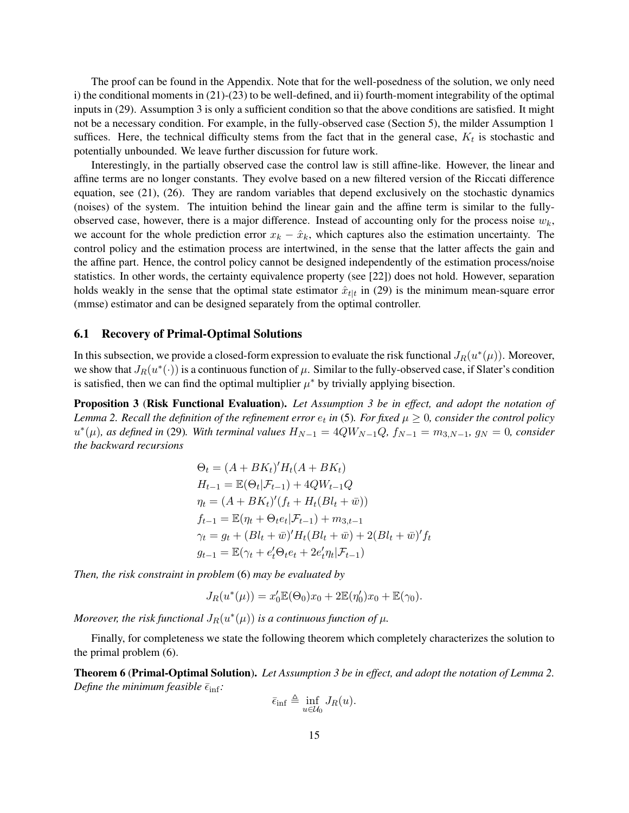The proof can be found in the Appendix. Note that for the well-posedness of the solution, we only need i) the conditional moments in [\(21\)](#page-13-2)-[\(23\)](#page-13-3) to be well-defined, and ii) fourth-moment integrability of the optimal inputs in [\(29\)](#page-13-4). Assumption [3](#page-13-1) is only a sufficient condition so that the above conditions are satisfied. It might not be a necessary condition. For example, in the fully-observed case (Section [5\)](#page-8-0), the milder Assumption [1](#page-4-0) suffices. Here, the technical difficulty stems from the fact that in the general case,  $K_t$  is stochastic and potentially unbounded. We leave further discussion for future work.

Interestingly, in the partially observed case the control law is still affine-like. However, the linear and affine terms are no longer constants. They evolve based on a new filtered version of the Riccati difference equation, see [\(21\)](#page-13-2), [\(26\)](#page-13-5). They are random variables that depend exclusively on the stochastic dynamics (noises) of the system. The intuition behind the linear gain and the affine term is similar to the fullyobserved case, however, there is a major difference. Instead of accounting only for the process noise  $w_k$ , we account for the whole prediction error  $x_k - \hat{x}_k$ , which captures also the estimation uncertainty. The control policy and the estimation process are intertwined, in the sense that the latter affects the gain and the affine part. Hence, the control policy cannot be designed independently of the estimation process/noise statistics. In other words, the certainty equivalence property (see [\[22\]](#page-23-7)) does not hold. However, separation holds weakly in the sense that the optimal state estimator  $\hat{x}_{t|t}$  in [\(29\)](#page-13-4) is the minimum mean-square error (mmse) estimator and can be designed separately from the optimal controller.

#### 6.1 Recovery of Primal-Optimal Solutions

In this subsection, we provide a closed-form expression to evaluate the risk functional  $J_R(u^*(\mu))$ . Moreover, we show that  $J_R(u^*(\cdot))$  is a continuous function of  $\mu$ . Similar to the fully-observed case, if Slater's condition is satisfied, then we can find the optimal multiplier  $\mu^*$  by trivially applying bisection.

<span id="page-14-0"></span>Proposition 3 (Risk Functional Evaluation). *Let Assumption [3](#page-13-1) be in effect, and adopt the notation of* Lemma [2.](#page-12-2) Recall the definition of the refinement error  $e_t$  in [\(5\)](#page-5-3). For fixed  $\mu \geq 0$ , consider the control policy  $u^*(\mu)$ , as defined in [\(29\)](#page-13-4). With terminal values  $H_{N-1} = 4QW_{N-1}Q$ ,  $f_{N-1} = m_{3,N-1}$ ,  $g_N = 0$ , consider *the backward recursions*

$$
\Theta_t = (A + BK_t)' H_t(A + BK_t)
$$
  
\n
$$
H_{t-1} = \mathbb{E}(\Theta_t | \mathcal{F}_{t-1}) + 4QW_{t-1}Q
$$
  
\n
$$
\eta_t = (A + BK_t)' (f_t + H_t(Bl_t + \bar{w}))
$$
  
\n
$$
f_{t-1} = \mathbb{E}(\eta_t + \Theta_t e_t | \mathcal{F}_{t-1}) + m_{3,t-1}
$$
  
\n
$$
\gamma_t = g_t + (Bl_t + \bar{w})' H_t (Bl_t + \bar{w}) + 2(Bl_t + \bar{w})' f_t
$$
  
\n
$$
g_{t-1} = \mathbb{E}(\gamma_t + e_t' \Theta_t e_t + 2e_t' \eta_t | \mathcal{F}_{t-1})
$$

*Then, the risk constraint in problem* [\(6\)](#page-5-2) *may be evaluated by*

$$
J_R(u^*(\mu)) = x'_0 \mathbb{E}(\Theta_0) x_0 + 2 \mathbb{E}(\eta'_0) x_0 + \mathbb{E}(\gamma_0).
$$

Moreover, the risk functional  $J_R(u^*(\mu))$  is a continuous function of  $\mu$ .

Finally, for completeness we state the following theorem which completely characterizes the solution to the primal problem [\(6\)](#page-5-2).

<span id="page-14-1"></span>Theorem 6 (Primal-Optimal Solution). *Let Assumption [3](#page-13-1) be in effect, and adopt the notation of Lemma [2.](#page-12-2) Define the minimum feasible*  $\bar{\epsilon}_{\text{inf}}$ *:* 

$$
\bar{\epsilon}_{\inf} \triangleq \inf_{u \in \mathcal{U}_0} J_R(u).
$$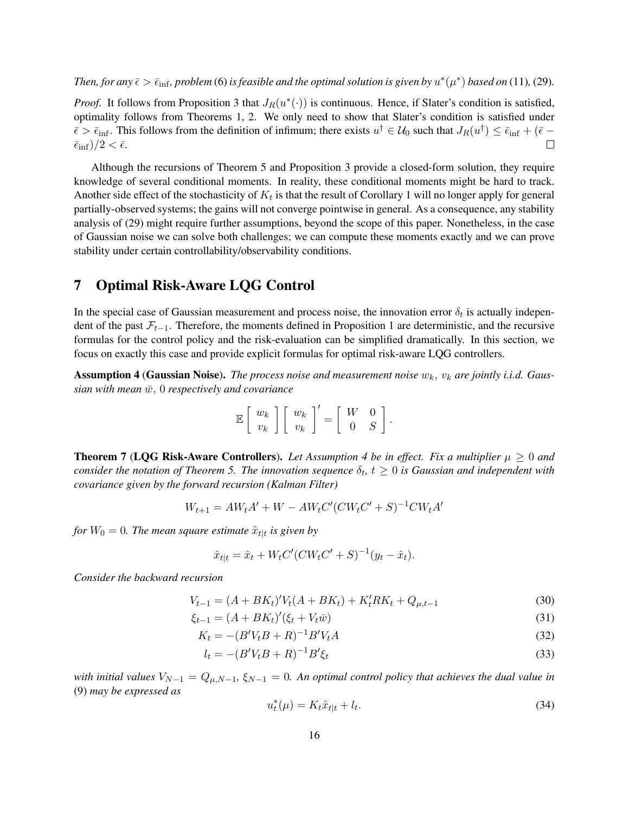*Then, for any*  $\bar{\epsilon} > \bar{\epsilon}_{\text{inf}}$ , problem [\(6\)](#page-5-2) is feasible and the optimal solution is given by  $u^*(\mu^*)$  based on [\(11\)](#page-8-3), [\(29\)](#page-13-4).

*Proof.* It follows from Proposition [3](#page-14-0) that  $J_R(u^*(\cdot))$  is continuous. Hence, if Slater's condition is satisfied, optimality follows from Theorems [1,](#page-7-1) [2.](#page-7-2) We only need to show that Slater's condition is satisfied under  $\bar{\epsilon} > \bar{\epsilon}_{\text{inf}}$ . This follows from the definition of infimum; there exists  $u^{\dagger} \in U_0$  such that  $J_R(u^{\dagger}) \le \bar{\epsilon}_{\text{inf}} + (\bar{\epsilon} - \bar{\epsilon})$  $\bar{\epsilon}_{\rm inf})/2 < \bar{\epsilon}.$ 

Although the recursions of Theorem [5](#page-13-0) and Proposition [3](#page-14-0) provide a closed-form solution, they require knowledge of several conditional moments. In reality, these conditional moments might be hard to track. Another side effect of the stochasticity of  $K_t$  is that the result of Corollary [1](#page-11-1) will no longer apply for general partially-observed systems; the gains will not converge pointwise in general. As a consequence, any stability analysis of [\(29\)](#page-13-4) might require further assumptions, beyond the scope of this paper. Nonetheless, in the case of Gaussian noise we can solve both challenges; we can compute these moments exactly and we can prove stability under certain controllability/observability conditions.

### <span id="page-15-0"></span>7 Optimal Risk-Aware LQG Control

In the special case of Gaussian measurement and process noise, the innovation error  $\delta_t$  is actually independent of the past  $\mathcal{F}_{t-1}$ . Therefore, the moments defined in Proposition [1](#page-5-1) are deterministic, and the recursive formulas for the control policy and the risk-evaluation can be simplified dramatically. In this section, we focus on exactly this case and provide explicit formulas for optimal risk-aware LQG controllers.

<span id="page-15-2"></span>**Assumption 4 (Gaussian Noise).** The process noise and measurement noise  $w_k$ ,  $v_k$  are jointly i.i.d. Gaus $sian with mean \bar{w}$ ,  $0$  *respectively and covariance* 

| $\mathbb{E}\left[\begin{array}{c} w_k \ v_k \end{array}\right]\left[\begin{array}{c} w_k \ v_k \end{array}\right]$ |  |  | $\begin{bmatrix} \end{bmatrix}' = \begin{bmatrix} W & 0 \\ 0 & S \end{bmatrix}.$ |  |
|--------------------------------------------------------------------------------------------------------------------|--|--|----------------------------------------------------------------------------------|--|
|                                                                                                                    |  |  |                                                                                  |  |

<span id="page-15-1"></span>**Theorem 7 (LQG Risk-Aware Controllers).** Let Assumption [4](#page-15-2) be in effect. Fix a multiplier  $\mu \geq 0$  and *consider the notation of Theorem [5.](#page-13-0) The innovation sequence*  $\delta_t$ ,  $t \geq 0$  is Gaussian and independent with *covariance given by the forward recursion (Kalman Filter)*

$$
W_{t+1} = AW_t A' + W - AW_t C' (CW_t C' + S)^{-1} C W_t A'
$$

for  $W_0 = 0$ . The mean square estimate  $\hat{x}_{t|t}$  is given by

$$
\hat{x}_{t|t} = \hat{x}_t + W_t C' (C W_t C' + S)^{-1} (y_t - \hat{x}_t).
$$

*Consider the backward recursion*

$$
V_{t-1} = (A + BK_t)'V_t(A + BK_t) + K_t'RK_t + Q_{\mu, t-1}
$$
\n(30)

$$
\xi_{t-1} = (A + BK_t)'(\xi_t + V_t \bar{w})
$$
\n(31)

$$
K_t = -(B'V_t B + R)^{-1} B' V_t A
$$
\n(32)

<span id="page-15-3"></span>
$$
l_t = -(B'V_t B + R)^{-1}B'\xi_t
$$
\n(33)

*with initial values*  $V_{N-1} = Q_{\mu,N-1}$ ,  $\xi_{N-1} = 0$ . An optimal control policy that achieves the dual value in [\(9\)](#page-7-5) *may be expressed as*

$$
u_t^*(\mu) = K_t \hat{x}_{t|t} + l_t. \tag{34}
$$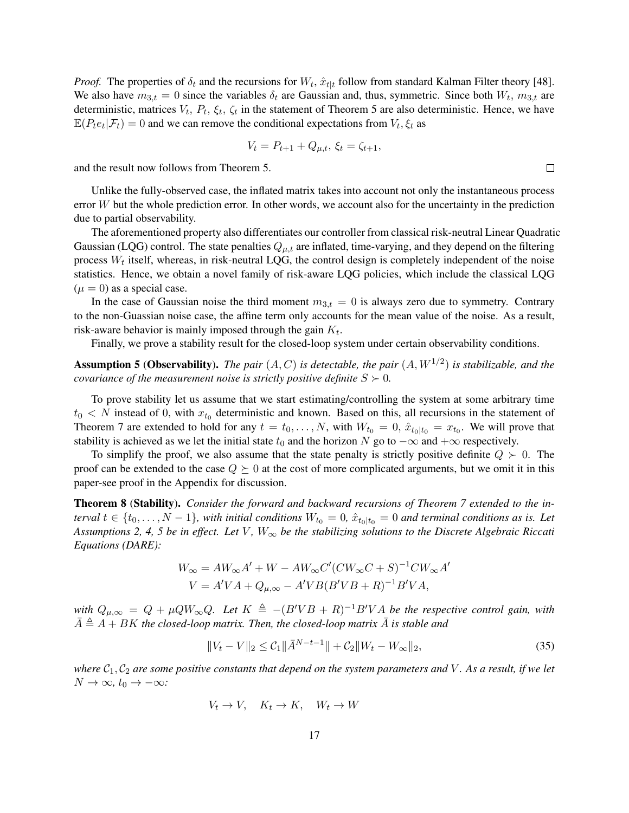*Proof.* The properties of  $\delta_t$  and the recursions for  $W_t$ ,  $\hat{x}_{t|t}$  follow from standard Kalman Filter theory [\[48\]](#page-25-8). We also have  $m_{3,t} = 0$  since the variables  $\delta_t$  are Gaussian and, thus, symmetric. Since both  $W_t$ ,  $m_{3,t}$  are deterministic, matrices  $V_t$ ,  $P_t$ ,  $\xi_t$ ,  $\zeta_t$  in the statement of Theorem [5](#page-13-0) are also deterministic. Hence, we have  $\mathbb{E}(P_t e_t | \mathcal{F}_t) = 0$  and we can remove the conditional expectations from  $V_t$ ,  $\xi_t$  as

$$
V_t = P_{t+1} + Q_{\mu,t}, \, \xi_t = \zeta_{t+1},
$$

and the result now follows from Theorem [5.](#page-13-0)

Unlike the fully-observed case, the inflated matrix takes into account not only the instantaneous process error W but the whole prediction error. In other words, we account also for the uncertainty in the prediction due to partial observability.

The aforementioned property also differentiates our controller from classical risk-neutral Linear Quadratic Gaussian (LQG) control. The state penalties  $Q_{\mu,t}$  are inflated, time-varying, and they depend on the filtering process  $W_t$  itself, whereas, in risk-neutral LQG, the control design is completely independent of the noise statistics. Hence, we obtain a novel family of risk-aware LQG policies, which include the classical LQG  $(\mu = 0)$  as a special case.

In the case of Gaussian noise the third moment  $m_{3,t} = 0$  is always zero due to symmetry. Contrary to the non-Guassian noise case, the affine term only accounts for the mean value of the noise. As a result, risk-aware behavior is mainly imposed through the gain  $K_t$ .

Finally, we prove a stability result for the closed-loop system under certain observability conditions.

<span id="page-16-0"></span>**Assumption 5 (Observability).** The pair  $(A, C)$  is detectable, the pair  $(A, W^{1/2})$  is stabilizable, and the *covariance of the measurement noise is strictly positive definite*  $S \succ 0$ *.* 

To prove stability let us assume that we start estimating/controlling the system at some arbitrary time  $t_0 < N$  instead of 0, with  $x_{t_0}$  deterministic and known. Based on this, all recursions in the statement of Theorem [7](#page-15-1) are extended to hold for any  $t = t_0, \ldots, N$ , with  $W_{t_0} = 0$ ,  $\hat{x}_{t_0|t_0} = x_{t_0}$ . We will prove that stability is achieved as we let the initial state  $t_0$  and the horizon N go to  $-\infty$  and  $+\infty$  respectively.

To simplify the proof, we also assume that the state penalty is strictly positive definite  $Q \succ 0$ . The proof can be extended to the case  $Q \succeq 0$  at the cost of more complicated arguments, but we omit it in this paper-see proof in the Appendix for discussion.

<span id="page-16-2"></span>Theorem 8 (Stability). *Consider the forward and backward recursions of Theorem [7](#page-15-1) extended to the interval*  $t \in \{t_0, \ldots, N-1\}$ , with initial conditions  $W_{t_0} = 0$ ,  $\hat{x}_{t_0|t_0} = 0$  and terminal conditions as is. Let *Assumptions* [2,](#page-10-1) [4,](#page-15-2) [5](#page-16-0) *be in effect. Let* V,  $W_{\infty}$  *be the stabilizing solutions to the Discrete Algebraic Riccati Equations (DARE):*

$$
W_{\infty} = AW_{\infty}A' + W - AW_{\infty}C'(CW_{\infty}C + S)^{-1}CW_{\infty}A'
$$
  

$$
V = A'VA + Q_{\mu,\infty} - A'VB(B'VB + R)^{-1}B'VA,
$$

 $W$ <sup>*with*</sup>  $Q_{\mu,\infty} = Q + \mu Q W_{\infty} Q$ . Let  $K \triangleq -(B'VB + R)^{-1}B'VA$  be the respective control gain, with  $A \triangleq A + BK$  *the closed-loop matrix. Then, the closed-loop matrix* A *is stable and* 

<span id="page-16-1"></span>
$$
||V_t - V||_2 \le C_1 ||\bar{A}^{N-t-1}|| + C_2 ||W_t - W_{\infty}||_2,
$$
\n(35)

*where*  $C_1$ ,  $C_2$  *are some positive constants that depend on the system parameters and* V. As a result, if we let  $N \to \infty$ *,*  $t_0 \to -\infty$ *:* 

$$
V_t \to V, \quad K_t \to K, \quad W_t \to W
$$

 $\Box$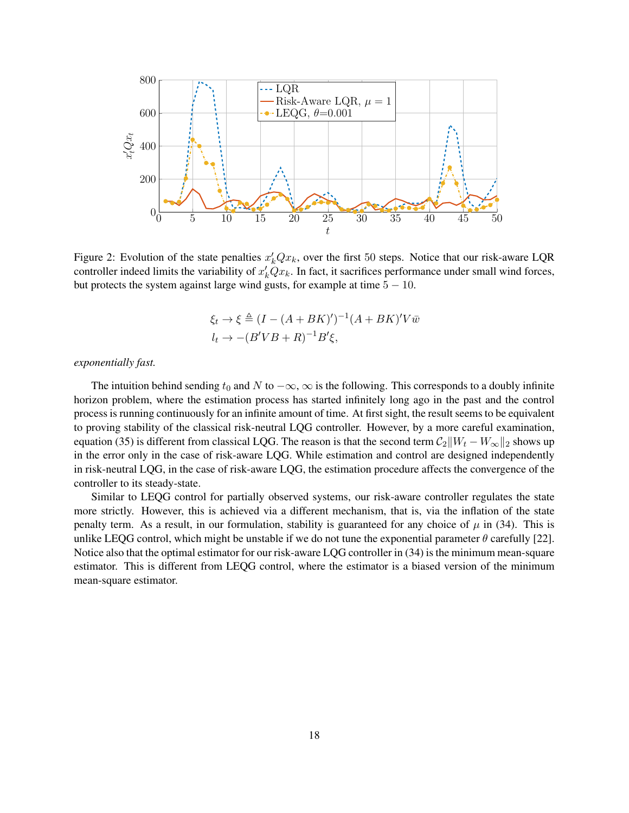

Figure 2: Evolution of the state penalties  $x'_{k}Qx_{k}$ , over the first 50 steps. Notice that our risk-aware LQR controller indeed limits the variability of  $x'_k \dot{Q} x_k$ . In fact, it sacrifices performance under small wind forces, but protects the system against large wind gusts, for example at time  $5 - 10$ .

<span id="page-17-0"></span>
$$
\xi_t \to \xi \triangleq (I - (A + BK)')^{-1} (A + BK)' V \overline{w}
$$
  

$$
l_t \to -(B'VB + R)^{-1} B'\xi,
$$

*exponentially fast.*

The intuition behind sending  $t_0$  and N to  $-\infty$ ,  $\infty$  is the following. This corresponds to a doubly infinite horizon problem, where the estimation process has started infinitely long ago in the past and the control process is running continuously for an infinite amount of time. At first sight, the result seems to be equivalent to proving stability of the classical risk-neutral LQG controller. However, by a more careful examination, equation [\(35\)](#page-16-1) is different from classical LQG. The reason is that the second term  $C_2||W_t - W_\infty||_2$  shows up in the error only in the case of risk-aware LQG. While estimation and control are designed independently in risk-neutral LQG, in the case of risk-aware LQG, the estimation procedure affects the convergence of the controller to its steady-state.

Similar to LEQG control for partially observed systems, our risk-aware controller regulates the state more strictly. However, this is achieved via a different mechanism, that is, via the inflation of the state penalty term. As a result, in our formulation, stability is guaranteed for any choice of  $\mu$  in [\(34\)](#page-15-3). This is unlike LEQG control, which might be unstable if we do not tune the exponential parameter  $\theta$  carefully [\[22\]](#page-23-7). Notice also that the optimal estimator for our risk-aware LQG controller in [\(34\)](#page-15-3) is the minimum mean-square estimator. This is different from LEQG control, where the estimator is a biased version of the minimum mean-square estimator.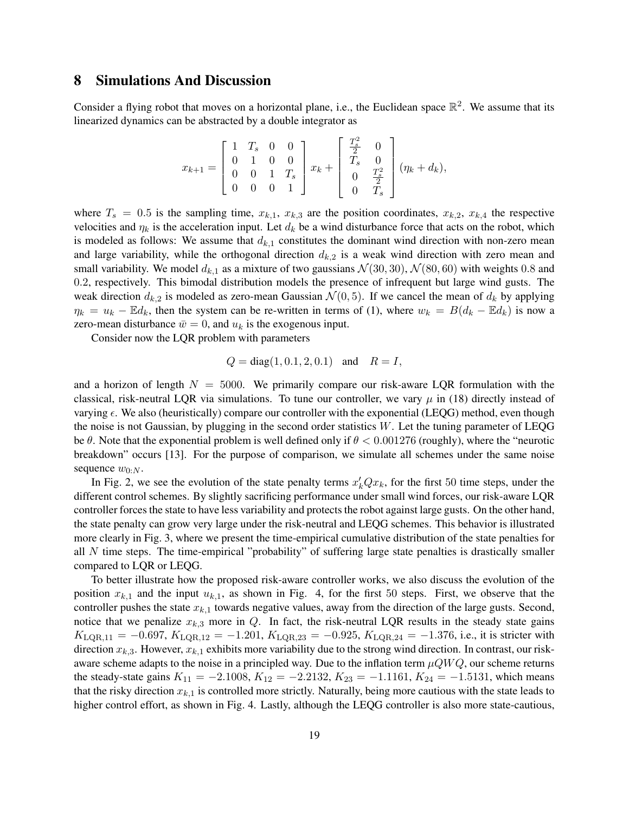### <span id="page-18-0"></span>8 Simulations And Discussion

Consider a flying robot that moves on a horizontal plane, i.e., the Euclidean space  $\mathbb{R}^2$ . We assume that its linearized dynamics can be abstracted by a double integrator as

$$
x_{k+1} = \begin{bmatrix} 1 & T_s & 0 & 0 \\ 0 & 1 & 0 & 0 \\ 0 & 0 & 1 & T_s \\ 0 & 0 & 0 & 1 \end{bmatrix} x_k + \begin{bmatrix} \frac{T_s^2}{2} & 0 \\ T_s & 0 \\ 0 & \frac{T_s^2}{2} \\ 0 & T_s \end{bmatrix} (\eta_k + d_k),
$$

where  $T_s = 0.5$  is the sampling time,  $x_{k,1}$ ,  $x_{k,3}$  are the position coordinates,  $x_{k,2}$ ,  $x_{k,4}$ , the respective velocities and  $\eta_k$  is the acceleration input. Let  $d_k$  be a wind disturbance force that acts on the robot, which is modeled as follows: We assume that  $d_{k,1}$  constitutes the dominant wind direction with non-zero mean and large variability, while the orthogonal direction  $d_{k,2}$  is a weak wind direction with zero mean and small variability. We model  $d_{k,1}$  as a mixture of two gaussians  $\mathcal{N}(30,30)$ ,  $\mathcal{N}(80,60)$  with weights 0.8 and 0.2, respectively. This bimodal distribution models the presence of infrequent but large wind gusts. The weak direction  $d_{k,2}$  is modeled as zero-mean Gaussian  $\mathcal{N}(0,5)$ . If we cancel the mean of  $d_k$  by applying  $\eta_k = u_k - \mathbb{E}d_k$ , then the system can be re-written in terms of [\(1\)](#page-0-0), where  $w_k = B(d_k - \mathbb{E}d_k)$  is now a zero-mean disturbance  $\bar{w} = 0$ , and  $u_k$  is the exogenous input.

Consider now the LQR problem with parameters

$$
Q = diag(1, 0.1, 2, 0.1)
$$
 and  $R = I$ ,

and a horizon of length  $N = 5000$ . We primarily compare our risk-aware LQR formulation with the classical, risk-neutral LQR via simulations. To tune our controller, we vary  $\mu$  in [\(18\)](#page-10-0) directly instead of varying  $\epsilon$ . We also (heuristically) compare our controller with the exponential (LEQG) method, even though the noise is not Gaussian, by plugging in the second order statistics  $W$ . Let the tuning parameter of LEQG be θ. Note that the exponential problem is well defined only if  $\theta < 0.001276$  (roughly), where the "neurotic breakdown" occurs [\[13\]](#page-23-6). For the purpose of comparison, we simulate all schemes under the same noise sequence  $w_{0:N}$ .

In Fig. [2,](#page-17-0) we see the evolution of the state penalty terms  $x'_{k}Qx_{k}$ , for the first 50 time steps, under the different control schemes. By slightly sacrificing performance under small wind forces, our risk-aware LQR controller forces the state to have less variability and protects the robot against large gusts. On the other hand, the state penalty can grow very large under the risk-neutral and LEQG schemes. This behavior is illustrated more clearly in Fig. [3,](#page-19-0) where we present the time-empirical cumulative distribution of the state penalties for all N time steps. The time-empirical "probability" of suffering large state penalties is drastically smaller compared to LQR or LEQG.

To better illustrate how the proposed risk-aware controller works, we also discuss the evolution of the position  $x_{k,1}$  and the input  $u_{k,1}$ , as shown in Fig. [4,](#page-20-1) for the first 50 steps. First, we observe that the controller pushes the state  $x_{k,1}$  towards negative values, away from the direction of the large gusts. Second, notice that we penalize  $x_{k,3}$  more in Q. In fact, the risk-neutral LQR results in the steady state gains  $K_{\text{LQR},11} = -0.697, K_{\text{LQR},12} = -1.201, K_{\text{LQR},23} = -0.925, K_{\text{LQR},24} = -1.376$ , i.e., it is stricter with direction  $x_{k,3}$ . However,  $x_{k,1}$  exhibits more variability due to the strong wind direction. In contrast, our riskaware scheme adapts to the noise in a principled way. Due to the inflation term  $\mu QWQ$ , our scheme returns the steady-state gains  $K_{11} = -2.1008$ ,  $K_{12} = -2.2132$ ,  $K_{23} = -1.1161$ ,  $K_{24} = -1.5131$ , which means that the risky direction  $x_{k,1}$  is controlled more strictly. Naturally, being more cautious with the state leads to higher control effort, as shown in Fig. [4.](#page-20-1) Lastly, although the LEQG controller is also more state-cautious,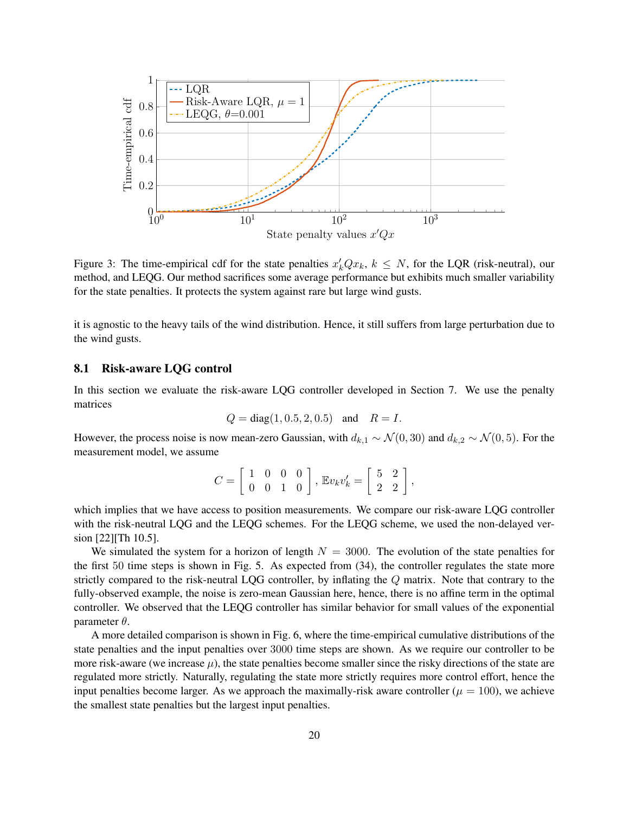

Figure 3: The time-empirical cdf for the state penalties  $x'_k Qx_k$ ,  $k \leq N$ , for the LQR (risk-neutral), our method, and LEQG. Our method sacrifices some average performance but exhibits much smaller variability for the state penalties. It protects the system against rare but large wind gusts.

it is agnostic to the heavy tails of the wind distribution. Hence, it still suffers from large perturbation due to the wind gusts.

#### 8.1 Risk-aware LQG control

In this section we evaluate the risk-aware LQG controller developed in Section [7.](#page-15-0) We use the penalty matrices

<span id="page-19-0"></span>
$$
Q = diag(1, 0.5, 2, 0.5)
$$
 and  $R = I$ .

However, the process noise is now mean-zero Gaussian, with  $d_{k,1} \sim \mathcal{N}(0, 30)$  and  $d_{k,2} \sim \mathcal{N}(0, 5)$ . For the measurement model, we assume

$$
C = \left[ \begin{array}{rrr} 1 & 0 & 0 & 0 \\ 0 & 0 & 1 & 0 \end{array} \right], \,\mathbb{E}v_k v_k' = \left[ \begin{array}{rrr} 5 & 2 \\ 2 & 2 \end{array} \right],
$$

which implies that we have access to position measurements. We compare our risk-aware LQG controller with the risk-neutral LQG and the LEQG schemes. For the LEQG scheme, we used the non-delayed version [\[22\]](#page-23-7)[Th 10.5].

We simulated the system for a horizon of length  $N = 3000$ . The evolution of the state penalties for the first 50 time steps is shown in Fig. [5.](#page-21-2) As expected from [\(34\)](#page-15-3), the controller regulates the state more strictly compared to the risk-neutral LQG controller, by inflating the Q matrix. Note that contrary to the fully-observed example, the noise is zero-mean Gaussian here, hence, there is no affine term in the optimal controller. We observed that the LEQG controller has similar behavior for small values of the exponential parameter  $\theta$ .

A more detailed comparison is shown in Fig. [6,](#page-22-4) where the time-empirical cumulative distributions of the state penalties and the input penalties over 3000 time steps are shown. As we require our controller to be more risk-aware (we increase  $\mu$ ), the state penalties become smaller since the risky directions of the state are regulated more strictly. Naturally, regulating the state more strictly requires more control effort, hence the input penalties become larger. As we approach the maximally-risk aware controller ( $\mu = 100$ ), we achieve the smallest state penalties but the largest input penalties.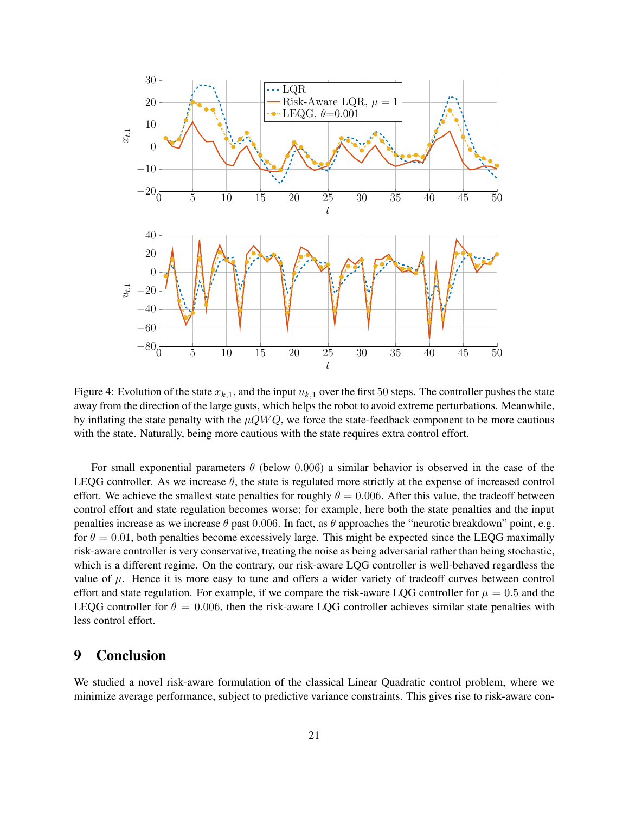

<span id="page-20-1"></span>Figure 4: Evolution of the state  $x_{k,1}$ , and the input  $u_{k,1}$  over the first 50 steps. The controller pushes the state away from the direction of the large gusts, which helps the robot to avoid extreme perturbations. Meanwhile, by inflating the state penalty with the  $\mu Q W Q$ , we force the state-feedback component to be more cautious with the state. Naturally, being more cautious with the state requires extra control effort.

For small exponential parameters  $\theta$  (below 0.006) a similar behavior is observed in the case of the LEQG controller. As we increase  $\theta$ , the state is regulated more strictly at the expense of increased control effort. We achieve the smallest state penalties for roughly  $\theta = 0.006$ . After this value, the tradeoff between control effort and state regulation becomes worse; for example, here both the state penalties and the input penalties increase as we increase  $\theta$  past 0.006. In fact, as  $\theta$  approaches the "neurotic breakdown" point, e.g. for  $\theta = 0.01$ , both penalties become excessively large. This might be expected since the LEQG maximally risk-aware controller is very conservative, treating the noise as being adversarial rather than being stochastic, which is a different regime. On the contrary, our risk-aware LQG controller is well-behaved regardless the value of  $\mu$ . Hence it is more easy to tune and offers a wider variety of tradeoff curves between control effort and state regulation. For example, if we compare the risk-aware LQG controller for  $\mu = 0.5$  and the LEQG controller for  $\theta = 0.006$ , then the risk-aware LQG controller achieves similar state penalties with less control effort.

# <span id="page-20-0"></span>9 Conclusion

We studied a novel risk-aware formulation of the classical Linear Quadratic control problem, where we minimize average performance, subject to predictive variance constraints. This gives rise to risk-aware con-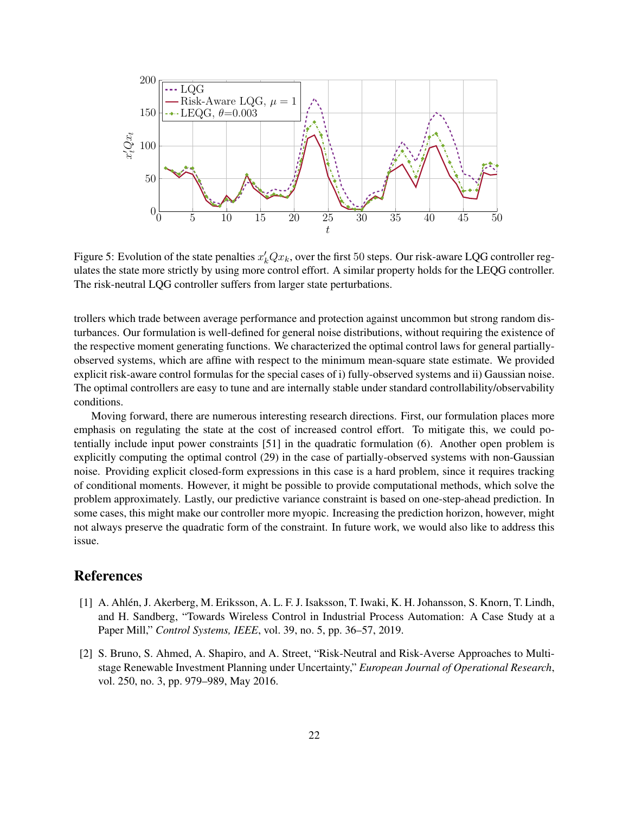<span id="page-21-2"></span>

Figure 5: Evolution of the state penalties  $x'_kQx_k$ , over the first 50 steps. Our risk-aware LQG controller regulates the state more strictly by using more control effort. A similar property holds for the LEQG controller. The risk-neutral LQG controller suffers from larger state perturbations.

trollers which trade between average performance and protection against uncommon but strong random disturbances. Our formulation is well-defined for general noise distributions, without requiring the existence of the respective moment generating functions. We characterized the optimal control laws for general partiallyobserved systems, which are affine with respect to the minimum mean-square state estimate. We provided explicit risk-aware control formulas for the special cases of i) fully-observed systems and ii) Gaussian noise. The optimal controllers are easy to tune and are internally stable under standard controllability/observability conditions.

Moving forward, there are numerous interesting research directions. First, our formulation places more emphasis on regulating the state at the cost of increased control effort. To mitigate this, we could potentially include input power constraints [\[51\]](#page-25-11) in the quadratic formulation [\(6\)](#page-5-2). Another open problem is explicitly computing the optimal control [\(29\)](#page-13-4) in the case of partially-observed systems with non-Gaussian noise. Providing explicit closed-form expressions in this case is a hard problem, since it requires tracking of conditional moments. However, it might be possible to provide computational methods, which solve the problem approximately. Lastly, our predictive variance constraint is based on one-step-ahead prediction. In some cases, this might make our controller more myopic. Increasing the prediction horizon, however, might not always preserve the quadratic form of the constraint. In future work, we would also like to address this issue.

# References

- <span id="page-21-0"></span>[1] A. Ahlen, J. Akerberg, M. Eriksson, A. L. F. J. Isaksson, T. Iwaki, K. H. Johansson, S. Knorn, T. Lindh, ´ and H. Sandberg, "Towards Wireless Control in Industrial Process Automation: A Case Study at a Paper Mill," *Control Systems, IEEE*, vol. 39, no. 5, pp. 36–57, 2019.
- <span id="page-21-1"></span>[2] S. Bruno, S. Ahmed, A. Shapiro, and A. Street, "Risk-Neutral and Risk-Averse Approaches to Multistage Renewable Investment Planning under Uncertainty," *European Journal of Operational Research*, vol. 250, no. 3, pp. 979–989, May 2016.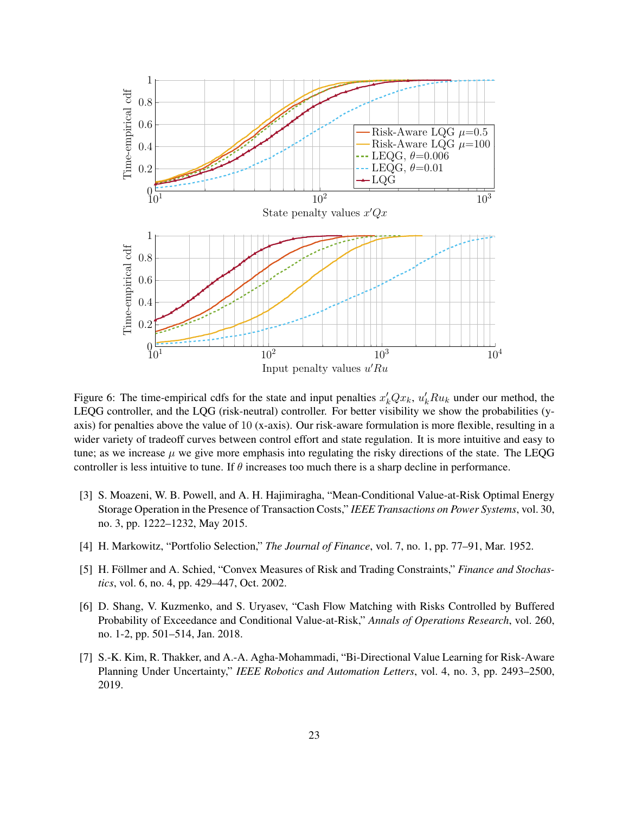

<span id="page-22-4"></span>Figure 6: The time-empirical cdfs for the state and input penalties  $x'_k Qx_k$ ,  $u'_k R u_k$  under our method, the LEQG controller, and the LQG (risk-neutral) controller. For better visibility we show the probabilities (yaxis) for penalties above the value of 10 (x-axis). Our risk-aware formulation is more flexible, resulting in a wider variety of tradeoff curves between control effort and state regulation. It is more intuitive and easy to tune; as we increase  $\mu$  we give more emphasis into regulating the risky directions of the state. The LEQG controller is less intuitive to tune. If  $\theta$  increases too much there is a sharp decline in performance.

- <span id="page-22-0"></span>[3] S. Moazeni, W. B. Powell, and A. H. Hajimiragha, "Mean-Conditional Value-at-Risk Optimal Energy Storage Operation in the Presence of Transaction Costs," *IEEE Transactions on Power Systems*, vol. 30, no. 3, pp. 1222–1232, May 2015.
- <span id="page-22-1"></span>[4] H. Markowitz, "Portfolio Selection," *The Journal of Finance*, vol. 7, no. 1, pp. 77–91, Mar. 1952.
- [5] H. Föllmer and A. Schied, "Convex Measures of Risk and Trading Constraints," *Finance and Stochastics*, vol. 6, no. 4, pp. 429–447, Oct. 2002.
- <span id="page-22-2"></span>[6] D. Shang, V. Kuzmenko, and S. Uryasev, "Cash Flow Matching with Risks Controlled by Buffered Probability of Exceedance and Conditional Value-at-Risk," *Annals of Operations Research*, vol. 260, no. 1-2, pp. 501–514, Jan. 2018.
- <span id="page-22-3"></span>[7] S.-K. Kim, R. Thakker, and A.-A. Agha-Mohammadi, "Bi-Directional Value Learning for Risk-Aware Planning Under Uncertainty," *IEEE Robotics and Automation Letters*, vol. 4, no. 3, pp. 2493–2500, 2019.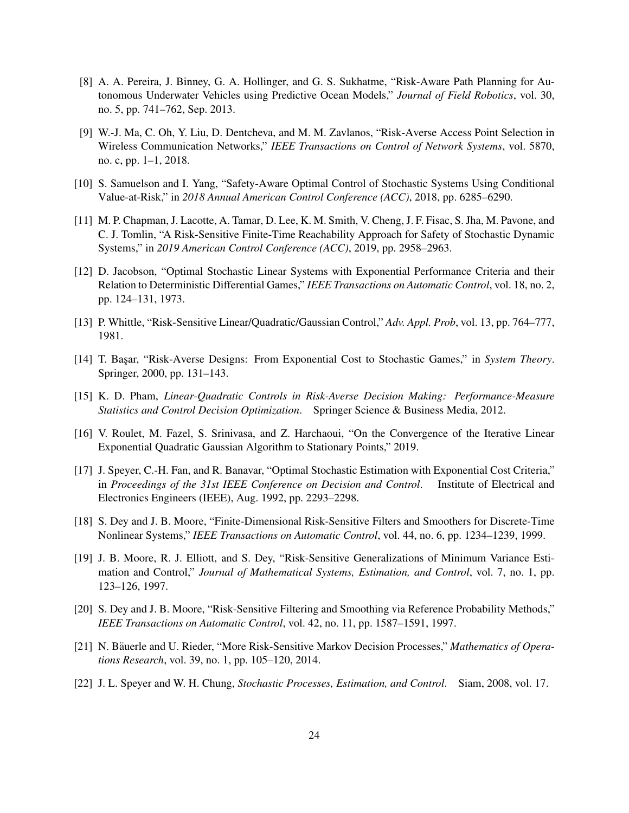- <span id="page-23-0"></span>[8] A. A. Pereira, J. Binney, G. A. Hollinger, and G. S. Sukhatme, "Risk-Aware Path Planning for Autonomous Underwater Vehicles using Predictive Ocean Models," *Journal of Field Robotics*, vol. 30, no. 5, pp. 741–762, Sep. 2013.
- <span id="page-23-1"></span>[9] W.-J. Ma, C. Oh, Y. Liu, D. Dentcheva, and M. M. Zavlanos, "Risk-Averse Access Point Selection in Wireless Communication Networks," *IEEE Transactions on Control of Network Systems*, vol. 5870, no. c, pp. 1–1, 2018.
- <span id="page-23-2"></span>[10] S. Samuelson and I. Yang, "Safety-Aware Optimal Control of Stochastic Systems Using Conditional Value-at-Risk," in *2018 Annual American Control Conference (ACC)*, 2018, pp. 6285–6290.
- <span id="page-23-3"></span>[11] M. P. Chapman, J. Lacotte, A. Tamar, D. Lee, K. M. Smith, V. Cheng, J. F. Fisac, S. Jha, M. Pavone, and C. J. Tomlin, "A Risk-Sensitive Finite-Time Reachability Approach for Safety of Stochastic Dynamic Systems," in *2019 American Control Conference (ACC)*, 2019, pp. 2958–2963.
- <span id="page-23-4"></span>[12] D. Jacobson, "Optimal Stochastic Linear Systems with Exponential Performance Criteria and their Relation to Deterministic Differential Games," *IEEE Transactions on Automatic Control*, vol. 18, no. 2, pp. 124–131, 1973.
- <span id="page-23-6"></span>[13] P. Whittle, "Risk-Sensitive Linear/Quadratic/Gaussian Control," *Adv. Appl. Prob*, vol. 13, pp. 764–777, 1981.
- [14] T. Başar, "Risk-Averse Designs: From Exponential Cost to Stochastic Games," in *System Theory*. Springer, 2000, pp. 131–143.
- [15] K. D. Pham, *Linear-Quadratic Controls in Risk-Averse Decision Making: Performance-Measure Statistics and Control Decision Optimization*. Springer Science & Business Media, 2012.
- [16] V. Roulet, M. Fazel, S. Srinivasa, and Z. Harchaoui, "On the Convergence of the Iterative Linear Exponential Quadratic Gaussian Algorithm to Stationary Points," 2019.
- [17] J. Speyer, C.-H. Fan, and R. Banavar, "Optimal Stochastic Estimation with Exponential Cost Criteria," in *Proceedings of the 31st IEEE Conference on Decision and Control*. Institute of Electrical and Electronics Engineers (IEEE), Aug. 1992, pp. 2293–2298.
- [18] S. Dey and J. B. Moore, "Finite-Dimensional Risk-Sensitive Filters and Smoothers for Discrete-Time Nonlinear Systems," *IEEE Transactions on Automatic Control*, vol. 44, no. 6, pp. 1234–1239, 1999.
- [19] J. B. Moore, R. J. Elliott, and S. Dey, "Risk-Sensitive Generalizations of Minimum Variance Estimation and Control," *Journal of Mathematical Systems, Estimation, and Control*, vol. 7, no. 1, pp. 123–126, 1997.
- [20] S. Dey and J. B. Moore, "Risk-Sensitive Filtering and Smoothing via Reference Probability Methods," *IEEE Transactions on Automatic Control*, vol. 42, no. 11, pp. 1587–1591, 1997.
- <span id="page-23-5"></span>[21] N. Bäuerle and U. Rieder, "More Risk-Sensitive Markov Decision Processes," *Mathematics of Operations Research*, vol. 39, no. 1, pp. 105–120, 2014.
- <span id="page-23-7"></span>[22] J. L. Speyer and W. H. Chung, *Stochastic Processes, Estimation, and Control*. Siam, 2008, vol. 17.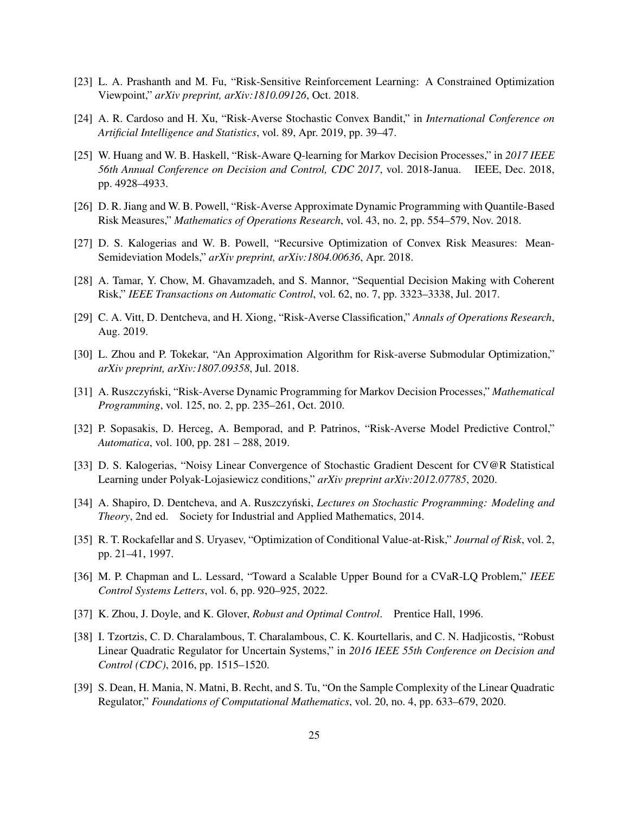- <span id="page-24-0"></span>[23] L. A. Prashanth and M. Fu, "Risk-Sensitive Reinforcement Learning: A Constrained Optimization Viewpoint," *arXiv preprint, arXiv:1810.09126*, Oct. 2018.
- [24] A. R. Cardoso and H. Xu, "Risk-Averse Stochastic Convex Bandit," in *International Conference on Artificial Intelligence and Statistics*, vol. 89, Apr. 2019, pp. 39–47.
- [25] W. Huang and W. B. Haskell, "Risk-Aware Q-learning for Markov Decision Processes," in *2017 IEEE 56th Annual Conference on Decision and Control, CDC 2017*, vol. 2018-Janua. IEEE, Dec. 2018, pp. 4928–4933.
- [26] D. R. Jiang and W. B. Powell, "Risk-Averse Approximate Dynamic Programming with Quantile-Based Risk Measures," *Mathematics of Operations Research*, vol. 43, no. 2, pp. 554–579, Nov. 2018.
- <span id="page-24-3"></span>[27] D. S. Kalogerias and W. B. Powell, "Recursive Optimization of Convex Risk Measures: Mean-Semideviation Models," *arXiv preprint, arXiv:1804.00636*, Apr. 2018.
- [28] A. Tamar, Y. Chow, M. Ghavamzadeh, and S. Mannor, "Sequential Decision Making with Coherent Risk," *IEEE Transactions on Automatic Control*, vol. 62, no. 7, pp. 3323–3338, Jul. 2017.
- [29] C. A. Vitt, D. Dentcheva, and H. Xiong, "Risk-Averse Classification," *Annals of Operations Research*, Aug. 2019.
- [30] L. Zhou and P. Tokekar, "An Approximation Algorithm for Risk-averse Submodular Optimization," *arXiv preprint, arXiv:1807.09358*, Jul. 2018.
- [31] A. Ruszczynski, "Risk-Averse Dynamic Programming for Markov Decision Processes," ´ *Mathematical Programming*, vol. 125, no. 2, pp. 235–261, Oct. 2010.
- [32] P. Sopasakis, D. Herceg, A. Bemporad, and P. Patrinos, "Risk-Averse Model Predictive Control," *Automatica*, vol. 100, pp. 281 – 288, 2019.
- <span id="page-24-1"></span>[33] D. S. Kalogerias, "Noisy Linear Convergence of Stochastic Gradient Descent for CV@R Statistical Learning under Polyak-Lojasiewicz conditions," *arXiv preprint arXiv:2012.07785*, 2020.
- <span id="page-24-2"></span>[34] A. Shapiro, D. Dentcheva, and A. Ruszczyński, *Lectures on Stochastic Programming: Modeling and Theory*, 2nd ed. Society for Industrial and Applied Mathematics, 2014.
- <span id="page-24-4"></span>[35] R. T. Rockafellar and S. Uryasev, "Optimization of Conditional Value-at-Risk," *Journal of Risk*, vol. 2, pp. 21–41, 1997.
- <span id="page-24-5"></span>[36] M. P. Chapman and L. Lessard, "Toward a Scalable Upper Bound for a CVaR-LQ Problem," *IEEE Control Systems Letters*, vol. 6, pp. 920–925, 2022.
- <span id="page-24-6"></span>[37] K. Zhou, J. Doyle, and K. Glover, *Robust and Optimal Control*. Prentice Hall, 1996.
- [38] I. Tzortzis, C. D. Charalambous, T. Charalambous, C. K. Kourtellaris, and C. N. Hadjicostis, "Robust Linear Quadratic Regulator for Uncertain Systems," in *2016 IEEE 55th Conference on Decision and Control (CDC)*, 2016, pp. 1515–1520.
- <span id="page-24-7"></span>[39] S. Dean, H. Mania, N. Matni, B. Recht, and S. Tu, "On the Sample Complexity of the Linear Quadratic Regulator," *Foundations of Computational Mathematics*, vol. 20, no. 4, pp. 633–679, 2020.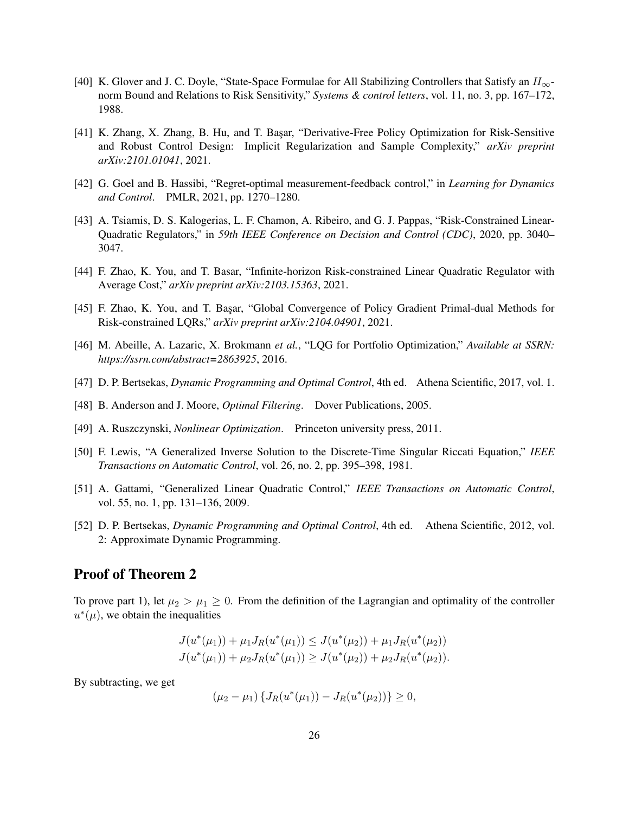- <span id="page-25-0"></span>[40] K. Glover and J. C. Doyle, "State-Space Formulae for All Stabilizing Controllers that Satisfy an  $H_{\infty}$ norm Bound and Relations to Risk Sensitivity," *Systems & control letters*, vol. 11, no. 3, pp. 167–172, 1988.
- <span id="page-25-1"></span>[41] K. Zhang, X. Zhang, B. Hu, and T. Başar, "Derivative-Free Policy Optimization for Risk-Sensitive and Robust Control Design: Implicit Regularization and Sample Complexity," *arXiv preprint arXiv:2101.01041*, 2021.
- <span id="page-25-2"></span>[42] G. Goel and B. Hassibi, "Regret-optimal measurement-feedback control," in *Learning for Dynamics and Control*. PMLR, 2021, pp. 1270–1280.
- <span id="page-25-3"></span>[43] A. Tsiamis, D. S. Kalogerias, L. F. Chamon, A. Ribeiro, and G. J. Pappas, "Risk-Constrained Linear-Quadratic Regulators," in *59th IEEE Conference on Decision and Control (CDC)*, 2020, pp. 3040– 3047.
- <span id="page-25-4"></span>[44] F. Zhao, K. You, and T. Basar, "Infinite-horizon Risk-constrained Linear Quadratic Regulator with Average Cost," *arXiv preprint arXiv:2103.15363*, 2021.
- <span id="page-25-5"></span>[45] F. Zhao, K. You, and T. Başar, "Global Convergence of Policy Gradient Primal-dual Methods for Risk-constrained LQRs," *arXiv preprint arXiv:2104.04901*, 2021.
- <span id="page-25-6"></span>[46] M. Abeille, A. Lazaric, X. Brokmann *et al.*, "LQG for Portfolio Optimization," *Available at SSRN: https://ssrn.com/abstract=2863925*, 2016.
- <span id="page-25-7"></span>[47] D. P. Bertsekas, *Dynamic Programming and Optimal Control*, 4th ed. Athena Scientific, 2017, vol. 1.
- <span id="page-25-8"></span>[48] B. Anderson and J. Moore, *Optimal Filtering*. Dover Publications, 2005.
- <span id="page-25-9"></span>[49] A. Ruszczynski, *Nonlinear Optimization*. Princeton university press, 2011.
- <span id="page-25-10"></span>[50] F. Lewis, "A Generalized Inverse Solution to the Discrete-Time Singular Riccati Equation," *IEEE Transactions on Automatic Control*, vol. 26, no. 2, pp. 395–398, 1981.
- <span id="page-25-11"></span>[51] A. Gattami, "Generalized Linear Quadratic Control," *IEEE Transactions on Automatic Control*, vol. 55, no. 1, pp. 131–136, 2009.
- <span id="page-25-12"></span>[52] D. P. Bertsekas, *Dynamic Programming and Optimal Control*, 4th ed. Athena Scientific, 2012, vol. 2: Approximate Dynamic Programming.

# Proof of Theorem [2](#page-7-2)

To prove part 1), let  $\mu_2 > \mu_1 \geq 0$ . From the definition of the Lagrangian and optimality of the controller  $u^*(\mu)$ , we obtain the inequalities

$$
J(u^*(\mu_1)) + \mu_1 J_R(u^*(\mu_1)) \le J(u^*(\mu_2)) + \mu_1 J_R(u^*(\mu_2))
$$
  

$$
J(u^*(\mu_1)) + \mu_2 J_R(u^*(\mu_1)) \ge J(u^*(\mu_2)) + \mu_2 J_R(u^*(\mu_2)).
$$

By subtracting, we get

$$
(\mu_2 - \mu_1) \{ J_R(u^*(\mu_1)) - J_R(u^*(\mu_2)) \} \ge 0,
$$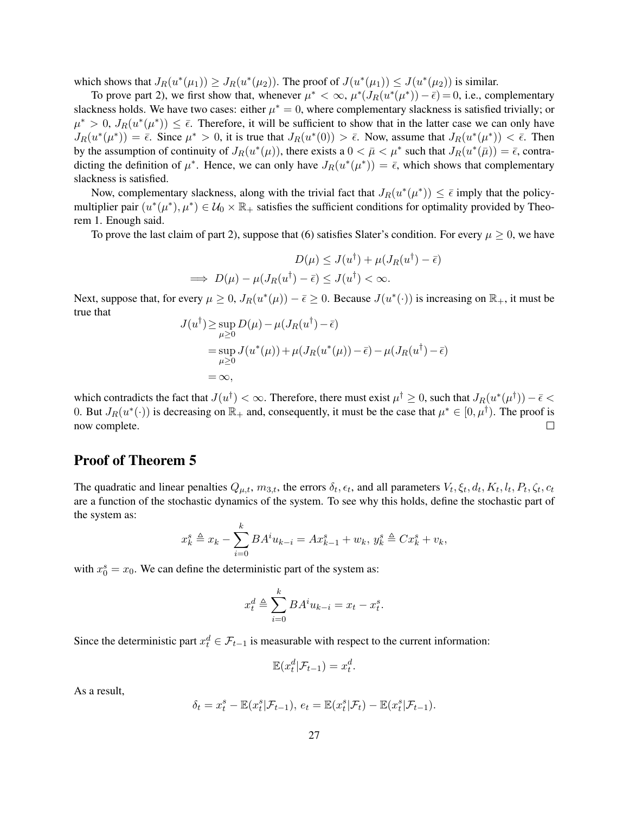which shows that  $J_R(u^*(\mu_1)) \ge J_R(u^*(\mu_2))$ . The proof of  $J(u^*(\mu_1)) \le J(u^*(\mu_2))$  is similar.

To prove part 2), we first show that, whenever  $\mu^* < \infty$ ,  $\mu^*(J_R(u^*(\mu^*)) - \overline{\epsilon}) = 0$ , i.e., complementary slackness holds. We have two cases: either  $\mu^* = 0$ , where complementary slackness is satisfied trivially; or  $\mu^* > 0$ ,  $J_R(u^*(\mu^*)) \leq \bar{\epsilon}$ . Therefore, it will be sufficient to show that in the latter case we can only have  $J_R(u^*(\mu^*)) = \overline{\epsilon}$ . Since  $\mu^* > 0$ , it is true that  $J_R(u^*(0)) > \overline{\epsilon}$ . Now, assume that  $J_R(u^*(\mu^*)) < \overline{\epsilon}$ . Then by the assumption of continuity of  $J_R(u^*(\mu))$ , there exists a  $0 < \bar{\mu} < \mu^*$  such that  $J_R(u^*(\bar{\mu})) = \bar{\epsilon}$ , contradicting the definition of  $\mu^*$ . Hence, we can only have  $J_R(u^*(\mu^*)) = \overline{\epsilon}$ , which shows that complementary slackness is satisfied.

Now, complementary slackness, along with the trivial fact that  $J_R(u^*(\mu^*)) \leq \bar{\epsilon}$  imply that the policymultiplier pair  $(u^*(\mu^*), \mu^*) \in \mathcal{U}_0 \times \mathbb{R}_+$  satisfies the sufficient conditions for optimality provided by Theorem [1.](#page-7-1) Enough said.

<span id="page-26-0"></span>To prove the last claim of part 2), suppose that [\(6\)](#page-5-2) satisfies Slater's condition. For every  $\mu \ge 0$ , we have

$$
D(\mu) \le J(u^{\dagger}) + \mu(J_R(u^{\dagger}) - \bar{\epsilon})
$$
  
\n
$$
\implies D(\mu) - \mu(J_R(u^{\dagger}) - \bar{\epsilon}) \le J(u^{\dagger}) < \infty.
$$

Next, suppose that, for every  $\mu \geq 0$ ,  $J_R(u^*(\mu)) - \bar{\epsilon} \geq 0$ . Because  $J(u^*(\cdot))$  is increasing on  $\mathbb{R}_+$ , it must be true that

$$
J(u^{\dagger}) \ge \sup_{\mu \ge 0} D(\mu) - \mu(J_R(u^{\dagger}) - \bar{\epsilon})
$$
  
= 
$$
\sup_{\mu \ge 0} J(u^*(\mu)) + \mu(J_R(u^*(\mu)) - \bar{\epsilon}) - \mu(J_R(u^{\dagger}) - \bar{\epsilon})
$$
  
= 
$$
\infty,
$$

which contradicts the fact that  $J(u^{\dagger}) < \infty$ . Therefore, there must exist  $\mu^{\dagger} \geq 0$ , such that  $J_R(u^*(\mu^{\dagger})) - \bar{\epsilon} <$ 0. But  $J_R(u^*(\cdot))$  is decreasing on  $\mathbb{R}_+$  and, consequently, it must be the case that  $\mu^* \in [0, \mu^{\dagger})$ . The proof is now complete.  $\Box$ 

# Proof of Theorem [5](#page-13-0)

The quadratic and linear penalties  $Q_{\mu,t}$ ,  $m_{3,t}$ , the errors  $\delta_t$ ,  $\epsilon_t$ , and all parameters  $V_t$ ,  $\xi_t$ ,  $d_t$ ,  $K_t$ ,  $l_t$ ,  $P_t$ ,  $\zeta_t$ ,  $c_t$ are a function of the stochastic dynamics of the system. To see why this holds, define the stochastic part of the system as:

$$
x_k^s \triangleq x_k - \sum_{i=0}^k BA^i u_{k-i} = Ax_{k-1}^s + w_k, \ y_k^s \triangleq Cx_k^s + v_k,
$$

with  $x_0^s = x_0$ . We can define the deterministic part of the system as:

$$
x_t^d \triangleq \sum_{i=0}^k BA^i u_{k-i} = x_t - x_t^s.
$$

Since the deterministic part  $x_t^d \in \mathcal{F}_{t-1}$  is measurable with respect to the current information:

$$
\mathbb{E}(x_t^d|\mathcal{F}_{t-1})=x_t^d.
$$

As a result,

$$
\delta_t = x_t^s - \mathbb{E}(x_t^s | \mathcal{F}_{t-1}), e_t = \mathbb{E}(x_t^s | \mathcal{F}_t) - \mathbb{E}(x_t^s | \mathcal{F}_{t-1}).
$$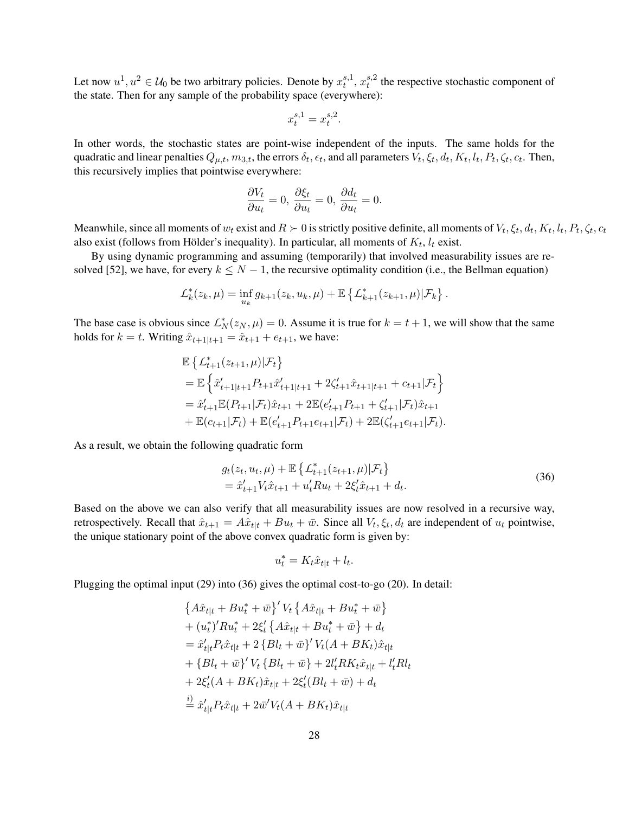Let now  $u^1, u^2 \in \mathcal{U}_0$  be two arbitrary policies. Denote by  $x_t^{s,1}$  $_{t}^{s,1}, x_{t}^{s,2}$  $t<sub>t</sub><sup>s,2</sup>$  the respective stochastic component of the state. Then for any sample of the probability space (everywhere):

$$
x_t^{s,1} = x_t^{s,2}.
$$

In other words, the stochastic states are point-wise independent of the inputs. The same holds for the quadratic and linear penalties  $Q_{\mu,t}$ ,  $m_{3,t}$ , the errors  $\delta_t$ ,  $\epsilon_t$ , and all parameters  $V_t$ ,  $\xi_t$ ,  $d_t$ ,  $K_t$ ,  $l_t$ ,  $P_t$ ,  $\zeta_t$ ,  $c_t$ . Then, this recursively implies that pointwise everywhere:

$$
\frac{\partial V_t}{\partial u_t} = 0, \ \frac{\partial \xi_t}{\partial u_t} = 0, \ \frac{\partial d_t}{\partial u_t} = 0.
$$

Meanwhile, since all moments of  $w_t$  exist and  $R \succ 0$  is strictly positive definite, all moments of  $V_t, \xi_t, d_t, K_t, l_t, P_t, \zeta_t, c_t$ also exist (follows from Hölder's inequality). In particular, all moments of  $K_t$ ,  $l_t$  exist.

By using dynamic programming and assuming (temporarily) that involved measurability issues are re-solved [\[52\]](#page-25-12), we have, for every  $k \le N - 1$ , the recursive optimality condition (i.e., the Bellman equation)

$$
\mathcal{L}_{k}^{*}(z_{k},\mu) = \inf_{u_{k}} g_{k+1}(z_{k},u_{k},\mu) + \mathbb{E} \left\{ \mathcal{L}_{k+1}^{*}(z_{k+1},\mu) | \mathcal{F}_{k} \right\}.
$$

The base case is obvious since  $\mathcal{L}_N^*(z_N,\mu) = 0$ . Assume it is true for  $k = t + 1$ , we will show that the same holds for  $k = t$ . Writing  $\hat{x}_{t+1|t+1} = \hat{x}_{t+1} + e_{t+1}$ , we have:

$$
\mathbb{E}\left\{\mathcal{L}_{t+1}^*(z_{t+1}, \mu)|\mathcal{F}_t\right\}
$$
\n
$$
= \mathbb{E}\left\{\hat{x}'_{t+1|t+1}P_{t+1}\hat{x}'_{t+1|t+1} + 2\zeta'_{t+1}\hat{x}_{t+1|t+1} + c_{t+1}|\mathcal{F}_t\right\}
$$
\n
$$
= \hat{x}'_{t+1}\mathbb{E}(P_{t+1}|\mathcal{F}_t)\hat{x}_{t+1} + 2\mathbb{E}(e'_{t+1}P_{t+1} + \zeta'_{t+1}|\mathcal{F}_t)\hat{x}_{t+1}
$$
\n
$$
+ \mathbb{E}(c_{t+1}|\mathcal{F}_t) + \mathbb{E}(e'_{t+1}P_{t+1}e_{t+1}|\mathcal{F}_t) + 2\mathbb{E}(\zeta'_{t+1}e_{t+1}|\mathcal{F}_t).
$$

As a result, we obtain the following quadratic form

$$
g_t(z_t, u_t, \mu) + \mathbb{E} \left\{ \mathcal{L}_{t+1}^*(z_{t+1}, \mu) | \mathcal{F}_t \right\}
$$
  
=  $\hat{x}'_{t+1} V_t \hat{x}_{t+1} + u'_t R u_t + 2 \xi'_t \hat{x}_{t+1} + d_t.$  (36)

Based on the above we can also verify that all measurability issues are now resolved in a recursive way, retrospectively. Recall that  $\hat{x}_{t+1} = A\hat{x}_{t|t} + Bu_t + \bar{w}$ . Since all  $V_t, \xi_t, d_t$  are independent of  $u_t$  pointwise, the unique stationary point of the above convex quadratic form is given by:

$$
u_t^* = K_t \hat{x}_{t|t} + l_t.
$$

Plugging the optimal input [\(29\)](#page-13-4) into [\(36\)](#page-26-0) gives the optimal cost-to-go [\(20\)](#page-13-6). In detail:

$$
\{A\hat{x}_{t|t} + Bu_t^* + \bar{w}\}' V_t \{A\hat{x}_{t|t} + Bu_t^* + \bar{w}\} + (u_t^*)' Ru_t^* + 2\xi_t' \{A\hat{x}_{t|t} + Bu_t^* + \bar{w}\} + d_t = \hat{x}_{t|t}' P_t \hat{x}_{t|t} + 2 \{Bl_t + \bar{w}\}' V_t (A + BK_t) \hat{x}_{t|t} + \{Bl_t + \bar{w}\}' V_t \{Bl_t + \bar{w}\} + 2l_t' RK_t \hat{x}_{t|t} + l_t' R l_t + 2\xi_t' (A + BK_t) \hat{x}_{t|t} + 2\xi_t' (Bl_t + \bar{w}) + d_t \stackrel{\text{i)}{=} \hat{x}_{t|t}' P_t \hat{x}_{t|t} + 2\bar{w}' V_t (A + BK_t) \hat{x}_{t|t}
$$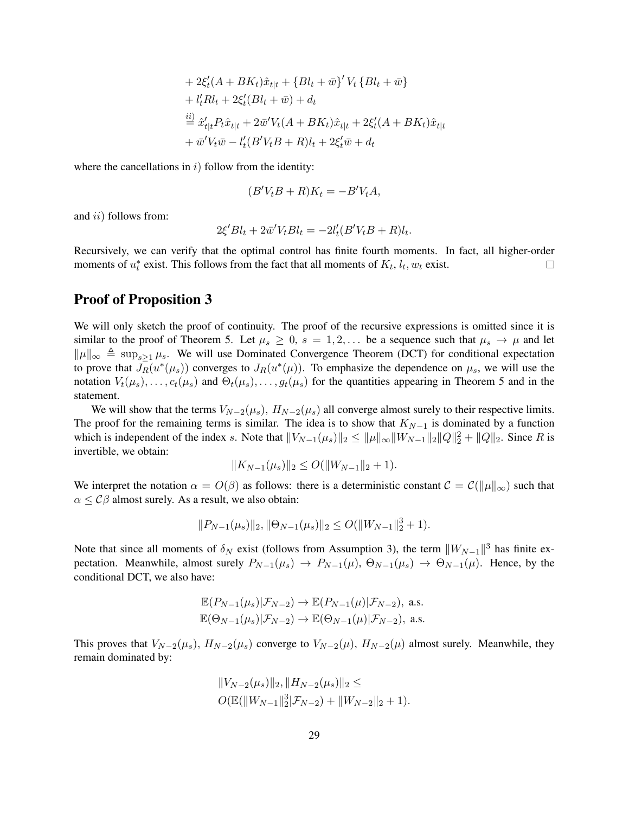+ 
$$
2\xi'_t(A + BK_t)\hat{x}_{t|t} + \{Bl_t + \bar{w}\}'V_t\{Bl_t + \bar{w}\}
$$
  
+  $l'_tRl_t + 2\xi'_t(Bl_t + \bar{w}) + d_t$   
 $\stackrel{ii)}{=} \hat{x}'_{t|t}P_t\hat{x}_{t|t} + 2\bar{w}'V_t(A + BK_t)\hat{x}_{t|t} + 2\xi'_t(A + BK_t)\hat{x}_{t|t}$   
+  $\bar{w}'V_t\bar{w} - l'_t(B'V_tB + R)l_t + 2\xi'_t\bar{w} + d_t$ 

where the cancellations in  $i)$  follow from the identity:

$$
(B'V_tB + R)K_t = -B'V_tA,
$$

and *ii*) follows from:

$$
2\xi' B l_t + 2\bar{w}' V_t B l_t = -2l_t' (B' V_t B + R) l_t.
$$

Recursively, we can verify that the optimal control has finite fourth moments. In fact, all higher-order moments of  $u_t^*$  exist. This follows from the fact that all moments of  $K_t$ ,  $l_t$ ,  $w_t$  exist.  $\Box$ 

### Proof of Proposition [3](#page-14-0)

We will only sketch the proof of continuity. The proof of the recursive expressions is omitted since it is similar to the proof of Theorem [5.](#page-13-0) Let  $\mu_s \geq 0$ ,  $s = 1, 2, \ldots$  be a sequence such that  $\mu_s \to \mu$  and let  $\|\mu\|_{\infty} \triangleq \sup_{s>1} \mu_s$ . We will use Dominated Convergence Theorem (DCT) for conditional expectation to prove that  $J_R(u^*(\mu_s))$  converges to  $J_R(u^*(\mu))$ . To emphasize the dependence on  $\mu_s$ , we will use the notation  $V_t(\mu_s), \ldots, c_t(\mu_s)$  and  $\Theta_t(\mu_s), \ldots, g_t(\mu_s)$  for the quantities appearing in Theorem [5](#page-13-0) and in the statement.

We will show that the terms  $V_{N-2}(\mu_s)$ ,  $H_{N-2}(\mu_s)$  all converge almost surely to their respective limits. The proof for the remaining terms is similar. The idea is to show that  $K_{N-1}$  is dominated by a function which is independent of the index s. Note that  $||V_{N-1}(\mu_s)||_2 \le ||\mu||_{\infty}||W_{N-1}||_2||Q||_2^2 + ||Q||_2$ . Since R is invertible, we obtain:

$$
||K_{N-1}(\mu_s)||_2 \le O(||W_{N-1}||_2 + 1).
$$

We interpret the notation  $\alpha = O(\beta)$  as follows: there is a deterministic constant  $\mathcal{C} = \mathcal{C}(\|\mu\|_{\infty})$  such that  $\alpha \leq C\beta$  almost surely. As a result, we also obtain:

$$
||P_{N-1}(\mu_s)||_2, ||\Theta_{N-1}(\mu_s)||_2 \le O(||W_{N-1}||_2^3 + 1).
$$

Note that since all moments of  $\delta_N$  exist (follows from Assumption [3\)](#page-13-1), the term  $||W_{N-1}||^3$  has finite expectation. Meanwhile, almost surely  $P_{N-1}(\mu_s) \to P_{N-1}(\mu)$ ,  $\Theta_{N-1}(\mu_s) \to \Theta_{N-1}(\mu)$ . Hence, by the conditional DCT, we also have:

$$
\mathbb{E}(P_{N-1}(\mu_s)|\mathcal{F}_{N-2}) \to \mathbb{E}(P_{N-1}(\mu)|\mathcal{F}_{N-2}), \text{ a.s.}
$$
  

$$
\mathbb{E}(\Theta_{N-1}(\mu_s)|\mathcal{F}_{N-2}) \to \mathbb{E}(\Theta_{N-1}(\mu)|\mathcal{F}_{N-2}), \text{ a.s.}
$$

This proves that  $V_{N-2}(\mu_s)$ ,  $H_{N-2}(\mu_s)$  converge to  $V_{N-2}(\mu)$ ,  $H_{N-2}(\mu)$  almost surely. Meanwhile, they remain dominated by:

$$
||V_{N-2}(\mu_s)||_2, ||H_{N-2}(\mu_s)||_2 \le
$$
  

$$
O(\mathbb{E}(\|W_{N-1}\|_2^3|\mathcal{F}_{N-2}) + \|W_{N-2}\|_2 + 1).
$$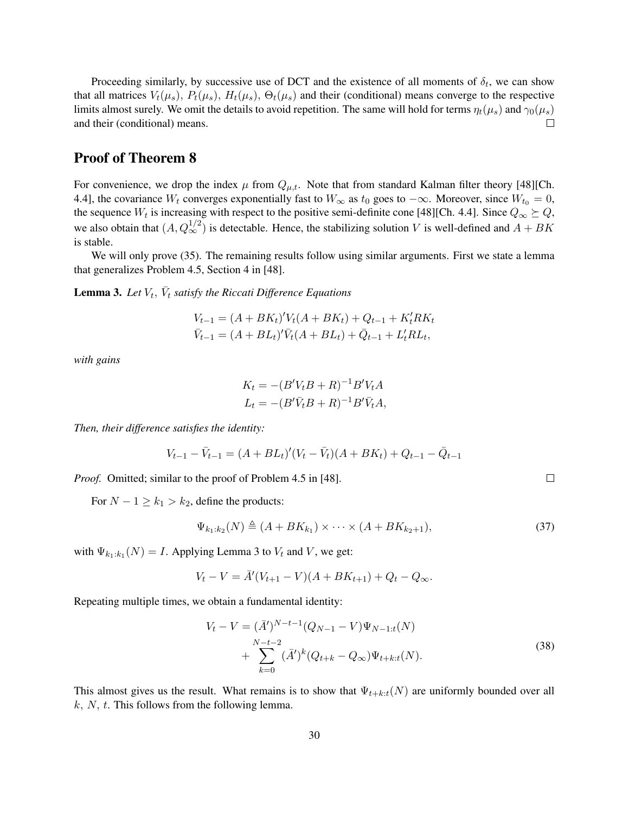Proceeding similarly, by successive use of DCT and the existence of all moments of  $\delta_t$ , we can show that all matrices  $V_t(\mu_s)$ ,  $P_t(\mu_s)$ ,  $H_t(\mu_s)$ ,  $\Theta_t(\mu_s)$  and their (conditional) means converge to the respective limits almost surely. We omit the details to avoid repetition. The same will hold for terms  $\eta_t(\mu_s)$  and  $\gamma_0(\mu_s)$ and their (conditional) means.  $\Box$ 

# Proof of Theorem [8](#page-16-2)

For convenience, we drop the index  $\mu$  from  $Q_{\mu,t}$ . Note that from standard Kalman filter theory [\[48\]](#page-25-8)[Ch. 4.4], the covariance  $W_t$  converges exponentially fast to  $W_\infty$  as  $t_0$  goes to  $-\infty$ . Moreover, since  $W_{t_0} = 0$ , the sequence  $W_t$  is increasing with respect to the positive semi-definite cone [\[48\]](#page-25-8)[Ch. 4.4]. Since  $Q_\infty \succeq Q$ , we also obtain that  $(A, Q_{\infty}^{1/2})$  is detectable. Hence, the stabilizing solution V is well-defined and  $A + BK$ is stable.

We will only prove [\(35\)](#page-16-1). The remaining results follow using similar arguments. First we state a lemma that generalizes Problem 4.5, Section 4 in [\[48\]](#page-25-8).

<span id="page-29-0"></span>**Lemma 3.** Let  $V_t$ ,  $\bar{V}_t$  satisfy the Riccati Difference Equations

$$
V_{t-1} = (A + BK_t)'V_t(A + BK_t) + Q_{t-1} + K_t'RK_t
$$
  

$$
\bar{V}_{t-1} = (A + BL_t)'\bar{V}_t(A + BL_t) + \bar{Q}_{t-1} + L_t'RL_t,
$$

*with gains*

$$
K_t = -(B'V_tB + R)^{-1}B'V_tA
$$
  

$$
L_t = -(B'\bar{V}_tB + R)^{-1}B'\bar{V}_tA,
$$

*Then, their difference satisfies the identity:*

$$
V_{t-1} - \bar{V}_{t-1} = (A + BL_t)'(V_t - \bar{V}_t)(A + BK_t) + Q_{t-1} - \bar{Q}_{t-1}
$$

*Proof.* Omitted; similar to the proof of Problem 4.5 in [\[48\]](#page-25-8).

For  $N - 1 \ge k_1 > k_2$ , define the products:

$$
\Psi_{k_1:k_2}(N) \triangleq (A + BK_{k_1}) \times \cdots \times (A + BK_{k_2+1}),
$$
\n(37)

with  $\Psi_{k_1:k_1}(N) = I$ . Applying Lemma [3](#page-29-0) to  $V_t$  and V, we get:

$$
V_t - V = \bar{A}'(V_{t+1} - V)(A + BK_{t+1}) + Q_t - Q_{\infty}.
$$

Repeating multiple times, we obtain a fundamental identity:

$$
V_t - V = (\bar{A}')^{N-t-1} (Q_{N-1} - V) \Psi_{N-1:t}(N)
$$
  
+ 
$$
\sum_{k=0}^{N-t-2} (\bar{A}')^k (Q_{t+k} - Q_\infty) \Psi_{t+k:t}(N).
$$
 (38)

This almost gives us the result. What remains is to show that  $\Psi_{t+k:t}(N)$  are uniformly bounded over all  $k, N, t$ . This follows from the following lemma.

 $\Box$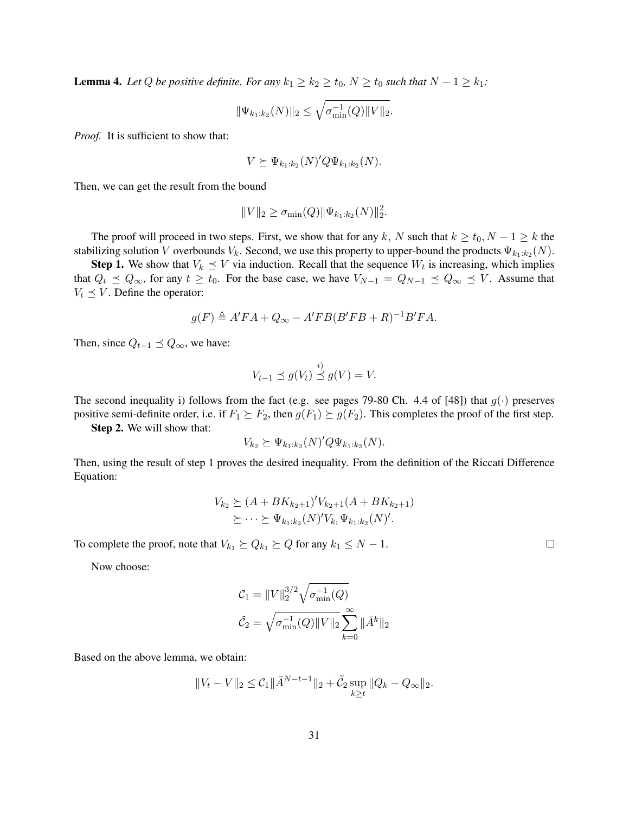<span id="page-30-0"></span>**Lemma 4.** Let Q be positive definite. For any  $k_1 \geq k_2 \geq t_0$ ,  $N \geq t_0$  such that  $N - 1 \geq k_1$ :

$$
\|\Psi_{k_1:k_2}(N)\|_2 \leq \sqrt{\sigma_{\min}^{-1}(Q)\|V\|_2}.
$$

*Proof.* It is sufficient to show that:

$$
V \succeq \Psi_{k_1:k_2}(N)'Q\Psi_{k_1:k_2}(N).
$$

Then, we can get the result from the bound

$$
||V||_2 \ge \sigma_{\min}(Q) ||\Psi_{k_1:k_2}(N)||_2^2
$$

.

The proof will proceed in two steps. First, we show that for any k, N such that  $k \ge t_0$ ,  $N - 1 \ge k$  the stabilizing solution V overbounds  $V_k$ . Second, we use this property to upper-bound the products  $\Psi_{k_1:k_2}(N)$ .

**Step 1.** We show that  $V_k \leq V$  via induction. Recall that the sequence  $W_t$  is increasing, which implies that  $Q_t \preceq Q_\infty$ , for any  $t \ge t_0$ . For the base case, we have  $V_{N-1} = Q_{N-1} \preceq Q_\infty \preceq V$ . Assume that  $V_t \preceq V$ . Define the operator:

$$
g(F) \triangleq A'FA + Q_{\infty} - A'FB(B'FB + R)^{-1}B'FA.
$$

Then, since  $Q_{t-1} \preceq Q_{\infty}$ , we have:

$$
V_{t-1} \preceq g(V_t) \stackrel{i)}{\preceq} g(V) = V.
$$

The second inequality i) follows from the fact (e.g. see pages 79-80 Ch. 4.4 of [\[48\]](#page-25-8)) that  $g(\cdot)$  preserves positive semi-definite order, i.e. if  $F_1 \succeq F_2$ , then  $g(F_1) \succeq g(F_2)$ . This completes the proof of the first step.

Step 2. We will show that:

$$
V_{k_2} \succeq \Psi_{k_1:k_2}(N)'Q\Psi_{k_1:k_2}(N).
$$

Then, using the result of step 1 proves the desired inequality. From the definition of the Riccati Difference Equation:

$$
V_{k_2} \succeq (A + BK_{k_2+1})' V_{k_2+1} (A + BK_{k_2+1})
$$
  

$$
\succeq \cdots \succeq \Psi_{k_1:k_2}(N)' V_{k_1} \Psi_{k_1:k_2}(N)'
$$

To complete the proof, note that  $V_{k_1} \succeq Q_{k_1} \succeq Q$  for any  $k_1 \leq N - 1$ .

Now choose:

$$
C_1 = ||V||_2^{3/2} \sqrt{\sigma_{\min}^{-1}(Q)}
$$

$$
\tilde{C}_2 = \sqrt{\sigma_{\min}^{-1}(Q) ||V||_2} \sum_{k=0}^{\infty} ||\bar{A}^k||_2
$$

Based on the above lemma, we obtain:

$$
||V_t - V||_2 \leq C_1 ||\bar{A}^{N-t-1}||_2 + \tilde{C}_2 \sup_{k \geq t} ||Q_k - Q_{\infty}||_2.
$$

 $\Box$